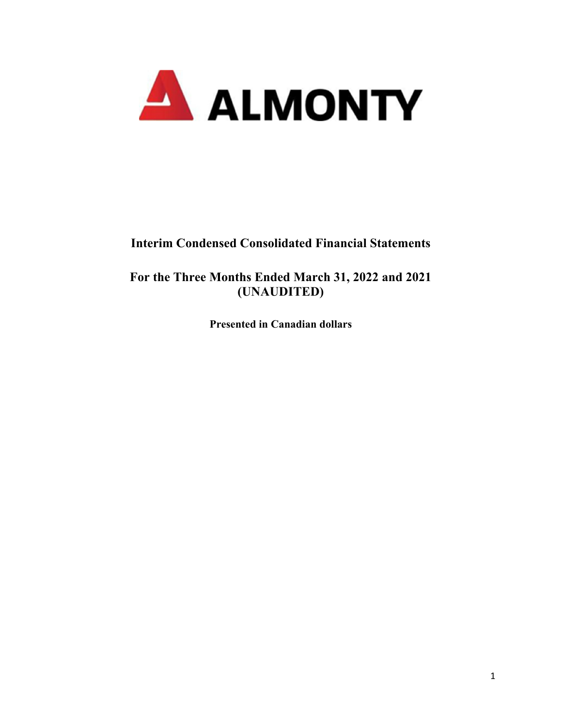

# **Interim Condensed Consolidated Financial Statements**

**For the Three Months Ended March 31, 2022 and 2021 (UNAUDITED)** 

**Presented in Canadian dollars**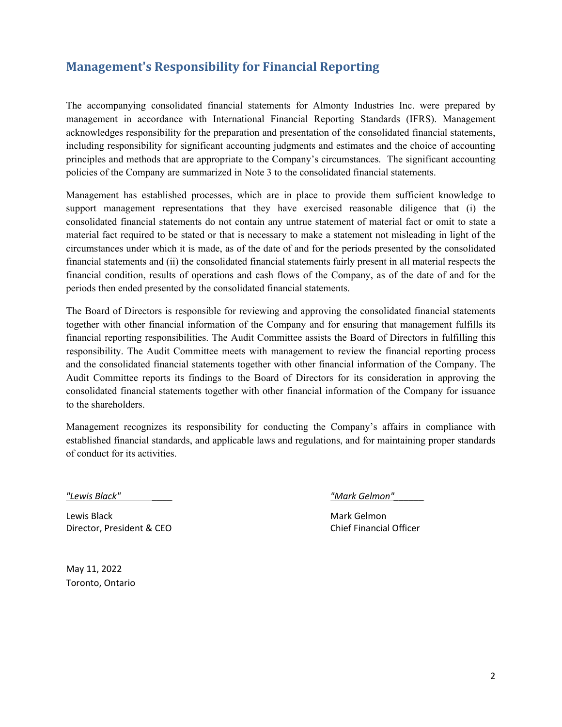# **Management's Responsibility for Financial Reporting**

The accompanying consolidated financial statements for Almonty Industries Inc. were prepared by management in accordance with International Financial Reporting Standards (IFRS). Management acknowledges responsibility for the preparation and presentation of the consolidated financial statements, including responsibility for significant accounting judgments and estimates and the choice of accounting principles and methods that are appropriate to the Company's circumstances. The significant accounting policies of the Company are summarized in Note 3 to the consolidated financial statements.

Management has established processes, which are in place to provide them sufficient knowledge to support management representations that they have exercised reasonable diligence that (i) the consolidated financial statements do not contain any untrue statement of material fact or omit to state a material fact required to be stated or that is necessary to make a statement not misleading in light of the circumstances under which it is made, as of the date of and for the periods presented by the consolidated financial statements and (ii) the consolidated financial statements fairly present in all material respects the financial condition, results of operations and cash flows of the Company, as of the date of and for the periods then ended presented by the consolidated financial statements.

The Board of Directors is responsible for reviewing and approving the consolidated financial statements together with other financial information of the Company and for ensuring that management fulfills its financial reporting responsibilities. The Audit Committee assists the Board of Directors in fulfilling this responsibility. The Audit Committee meets with management to review the financial reporting process and the consolidated financial statements together with other financial information of the Company. The Audit Committee reports its findings to the Board of Directors for its consideration in approving the consolidated financial statements together with other financial information of the Company for issuance to the shareholders.

Management recognizes its responsibility for conducting the Company's affairs in compliance with established financial standards, and applicable laws and regulations, and for maintaining proper standards of conduct for its activities.

Lewis Black Mark Gelmon Director, President & CEO Chief Financial Officer

*"Lewis Black" \_\_\_\_ "Mark Gelmon"\_\_\_\_\_\_* 

May 11, 2022 Toronto, Ontario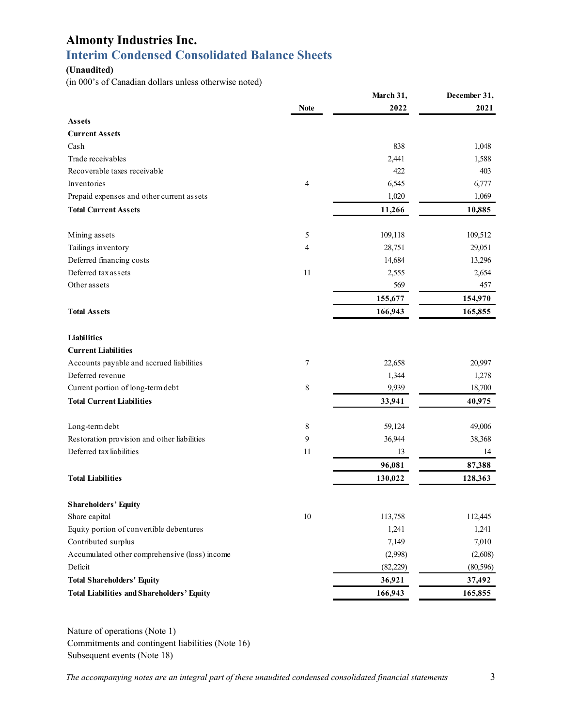# **Almonty Industries Inc. Interim Condensed Consolidated Balance Sheets**

#### **(Unaudited)**

(in 000's of Canadian dollars unless otherwise noted)

|                                                   |                  | March 31, | December 31, |
|---------------------------------------------------|------------------|-----------|--------------|
|                                                   | <b>Note</b>      | 2022      | 2021         |
| <b>Assets</b>                                     |                  |           |              |
| <b>Current Assets</b>                             |                  |           |              |
| Cash                                              |                  | 838       | 1,048        |
| Trade receivables                                 |                  | 2,441     | 1,588        |
| Recoverable taxes receivable                      |                  | 422       | 403          |
| Inventories                                       | $\overline{4}$   | 6,545     | 6,777        |
| Prepaid expenses and other current assets         |                  | 1,020     | 1,069        |
| <b>Total Current Assets</b>                       |                  | 11,266    | 10,885       |
| Mining assets                                     | 5                | 109,118   | 109,512      |
| Tailings inventory                                | 4                | 28,751    | 29,051       |
| Deferred financing costs                          |                  | 14,684    | 13,296       |
| Deferred tax assets                               | 11               | 2,555     | 2,654        |
| Other assets                                      |                  | 569       | 457          |
|                                                   |                  | 155,677   | 154,970      |
| <b>Total Assets</b>                               |                  | 166,943   | 165,855      |
|                                                   |                  |           |              |
| <b>Liabilities</b>                                |                  |           |              |
| <b>Current Liabilities</b>                        |                  |           |              |
| Accounts payable and accrued liabilities          | 7                | 22,658    | 20,997       |
| Deferred revenue                                  |                  | 1,344     | 1,278        |
| Current portion of long-term debt                 | $\,$ 8 $\,$      | 9,939     | 18,700       |
| <b>Total Current Liabilities</b>                  |                  | 33,941    | 40,975       |
| Long-term debt                                    | $\,$ 8 $\,$      | 59,124    | 49,006       |
| Restoration provision and other liabilities       | $\boldsymbol{9}$ | 36,944    | 38,368       |
| Deferred tax liabilities                          | 11               | 13        | 14           |
|                                                   |                  | 96,081    | 87,388       |
| <b>Total Liabilities</b>                          |                  | 130,022   | 128,363      |
| <b>Shareholders' Equity</b>                       |                  |           |              |
| Share capital                                     | $10\,$           | 113,758   | 112,445      |
| Equity portion of convertible debentures          |                  | 1,241     | 1,241        |
| Contributed surplus                               |                  | 7,149     | 7,010        |
| Accumulated other comprehensive (loss) income     |                  | (2,998)   | (2,608)      |
| Deficit                                           |                  | (82, 229) | (80, 596)    |
| <b>Total Shareholders' Equity</b>                 |                  | 36,921    | 37,492       |
| <b>Total Liabilities and Shareholders' Equity</b> |                  | 166,943   | 165,855      |
|                                                   |                  |           |              |

Nature of operations (Note 1) Commitments and contingent liabilities (Note 16) Subsequent events (Note 18)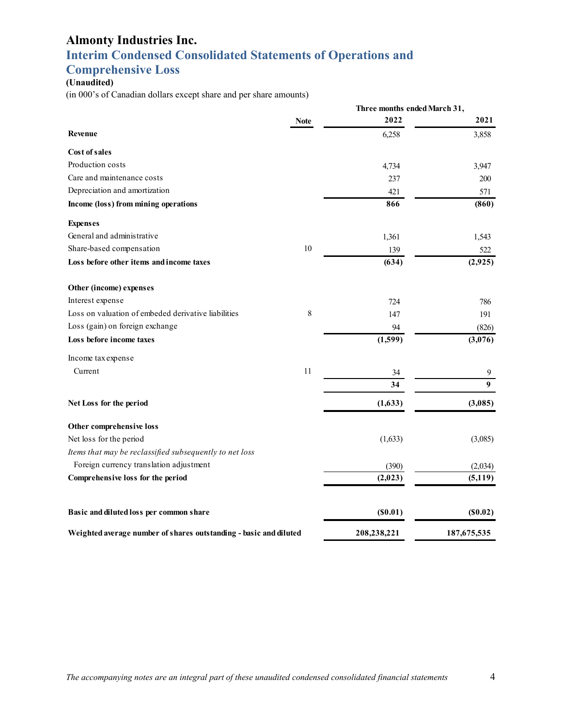# **Interim Condensed Consolidated Statements of Operations and**

# **Comprehensive Loss**

# **(Unaudited)**

(in 000's of Canadian dollars except share and per share amounts)

|                                                                   |             | Three months ended March 31, |                |
|-------------------------------------------------------------------|-------------|------------------------------|----------------|
|                                                                   | <b>Note</b> | 2022                         | 2021           |
| Revenue                                                           |             | 6,258                        | 3,858          |
| Cost of sales                                                     |             |                              |                |
| Production costs                                                  |             | 4,734                        | 3,947          |
| Care and maintenance costs                                        |             | 237                          | 200            |
| Depreciation and amortization                                     |             | 421                          | 571            |
| Income (loss) from mining operations                              |             | 866                          | (860)          |
| <b>Expenses</b>                                                   |             |                              |                |
| General and administrative                                        |             | 1,361                        | 1,543          |
| Share-based compensation                                          | 10          | 139                          | 522            |
| Loss before other items and income taxes                          |             | (634)                        | (2,925)        |
| Other (income) expenses                                           |             |                              |                |
| Interest expense                                                  |             | 724                          | 786            |
| Loss on valuation of embeded derivative liabilities               | 8           | 147                          | 191            |
| Loss (gain) on foreign exchange                                   |             | 94                           | (826)          |
| Loss before income taxes                                          |             | (1,599)                      | (3,076)        |
| Income tax expense                                                |             |                              |                |
| Current                                                           | 11          | 34                           | 9              |
|                                                                   |             | 34                           | 9 <sup>°</sup> |
| Net Loss for the period                                           |             | (1,633)                      | (3,085)        |
| Other comprehensive loss                                          |             |                              |                |
| Net loss for the period                                           |             | (1,633)                      | (3,085)        |
| Items that may be reclassified subsequently to net loss           |             |                              |                |
| Foreign currency translation adjustment                           |             | (390)                        | (2,034)        |
| Comprehensive loss for the period                                 |             | (2,023)                      | (5, 119)       |
| Basic and diluted loss per common share                           |             | (S0.01)                      | (S0.02)        |
| Weighted average number of shares outstanding - basic and diluted |             | 208,238,221                  | 187, 675, 535  |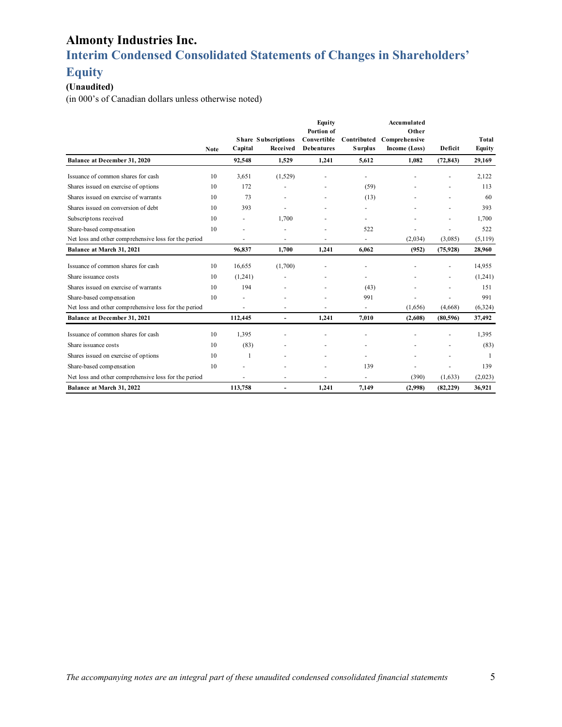# **Interim Condensed Consolidated Statements of Changes in Shareholders'**

### **Equity**

### **(Unaudited)**

(in 000's of Canadian dollars unless otherwise noted)

|                                                      | <b>Note</b> | Capital | <b>Share Subscriptions</b><br>Received | Equity<br>Portion of<br>Convertible<br><b>Debentures</b> | Contributed<br><b>Surplus</b> | Accumulated<br>Other<br>Comprehensive<br>Income (Loss) | Deficit                  | <b>Total</b><br>Equity |
|------------------------------------------------------|-------------|---------|----------------------------------------|----------------------------------------------------------|-------------------------------|--------------------------------------------------------|--------------------------|------------------------|
| Balance at December 31, 2020                         |             | 92,548  | 1,529                                  | 1,241                                                    | 5,612                         | 1,082                                                  | (72, 843)                | 29,169                 |
| Issuance of common shares for cash                   | 10          | 3,651   | (1,529)                                |                                                          |                               |                                                        |                          | 2,122                  |
| Shares issued on exercise of options                 | 10          | 172     |                                        |                                                          | (59)                          |                                                        |                          | 113                    |
| Shares issued on exercise of warrants                | 10          | 73      |                                        |                                                          | (13)                          |                                                        |                          | 60                     |
| Shares issued on conversion of debt                  | 10          | 393     |                                        |                                                          |                               |                                                        |                          | 393                    |
| Subscriptons received                                | 10          |         | 1,700                                  |                                                          |                               |                                                        |                          | 1,700                  |
| Share-based compensation                             | 10          |         |                                        |                                                          | 522                           |                                                        |                          | 522                    |
| Net loss and other comprehensive loss for the period |             |         |                                        |                                                          | ٠                             | (2,034)                                                | (3,085)                  | (5,119)                |
| Balance at March 31, 2021                            |             | 96,837  | 1.700                                  | 1,241                                                    | 6.062                         | (952)                                                  | (75, 928)                | 28,960                 |
| Issuance of common shares for cash                   | 10          | 16,655  | (1,700)                                |                                                          |                               |                                                        |                          | 14,955                 |
| Share issuance costs                                 | 10          | (1,241) |                                        |                                                          |                               |                                                        | $\overline{\phantom{a}}$ | (1,241)                |
| Shares issued on exercise of warrants                | 10          | 194     |                                        | $\overline{\phantom{a}}$                                 | (43)                          |                                                        | $\overline{\phantom{a}}$ | 151                    |
| Share-based compensation                             | 10          |         |                                        |                                                          | 991                           |                                                        |                          | 991                    |
| Net loss and other comprehensive loss for the period |             |         |                                        |                                                          | ٠                             | (1,656)                                                | (4,668)                  | (6, 324)               |
| Balance at December 31, 2021                         |             | 112,445 | $\blacksquare$                         | 1,241                                                    | 7,010                         | (2,608)                                                | (80, 596)                | 37,492                 |
| Issuance of common shares for cash                   | 10          | 1,395   |                                        |                                                          |                               |                                                        |                          | 1,395                  |
| Share issuance costs                                 | 10          | (83)    |                                        |                                                          |                               |                                                        | $\overline{\phantom{a}}$ | (83)                   |
| Shares issued on exercise of options                 | 10          | 1       |                                        |                                                          |                               |                                                        |                          |                        |
| Share-based compensation                             | 10          |         |                                        |                                                          | 139                           |                                                        |                          | 139                    |
| Net loss and other comprehensive loss for the period |             |         |                                        |                                                          |                               | (390)                                                  | (1,633)                  | (2,023)                |
| Balance at March 31, 2022                            |             | 113,758 |                                        | 1.241                                                    | 7.149                         | (2,998)                                                | (82, 229)                | 36,921                 |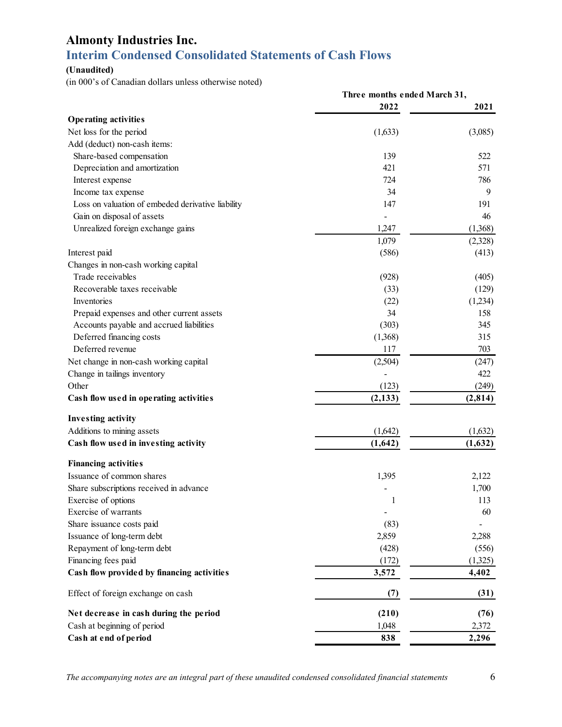# **Almonty Industries Inc. Interim Condensed Consolidated Statements of Cash Flows**

#### **(Unaudited)**

(in 000's of Canadian dollars unless otherwise noted)

|                                                   | Three months ended March 31, |          |
|---------------------------------------------------|------------------------------|----------|
|                                                   | 2022                         | 2021     |
| <b>Operating activities</b>                       |                              |          |
| Net loss for the period                           | (1,633)                      | (3,085)  |
| Add (deduct) non-cash items:                      |                              |          |
| Share-based compensation                          | 139                          | 522      |
| Depreciation and amortization                     | 421                          | 571      |
| Interest expense                                  | 724                          | 786      |
| Income tax expense                                | 34                           | 9        |
| Loss on valuation of embeded derivative liability | 147                          | 191      |
| Gain on disposal of assets                        |                              | 46       |
| Unrealized foreign exchange gains                 | 1,247                        | (1,368)  |
|                                                   | 1,079                        | (2,328)  |
| Interest paid                                     | (586)                        | (413)    |
| Changes in non-cash working capital               |                              |          |
| Trade receivables                                 | (928)                        | (405)    |
| Recoverable taxes receivable                      | (33)                         | (129)    |
| Inventories                                       | (22)                         | (1,234)  |
| Prepaid expenses and other current assets         | 34                           | 158      |
| Accounts payable and accrued liabilities          | (303)                        | 345      |
| Deferred financing costs                          | (1,368)                      | 315      |
| Deferred revenue                                  | 117                          | 703      |
| Net change in non-cash working capital            | (2,504)                      | (247)    |
| Change in tailings inventory                      |                              | 422      |
| Other                                             | (123)                        | (249)    |
| Cash flow used in operating activities            | (2, 133)                     | (2, 814) |
| <b>Investing activity</b>                         |                              |          |
| Additions to mining assets                        | (1,642)                      | (1,632)  |
| Cash flow used in investing activity              | (1, 642)                     | (1,632)  |
| <b>Financing activities</b>                       |                              |          |
| Issuance of common shares                         | 1,395                        | 2,122    |
| Share subscriptions received in advance           |                              | 1,700    |
| Exercise of options                               |                              | 113      |
| Exercise of warrants                              | $\blacksquare$               | 60       |
| Share issuance costs paid                         | (83)                         |          |
| Issuance of long-term debt                        | 2,859                        | 2,288    |
| Repayment of long-term debt                       | (428)                        | (556)    |
| Financing fees paid                               | (172)                        | (1,325)  |
| Cash flow provided by financing activities        | 3,572                        | 4,402    |
| Effect of foreign exchange on cash                | (7)                          | (31)     |
| Net decrease in cash during the period            | (210)                        | (76)     |
| Cash at beginning of period                       | 1,048                        | 2,372    |
| Cash at end of period                             | 838                          | 2,296    |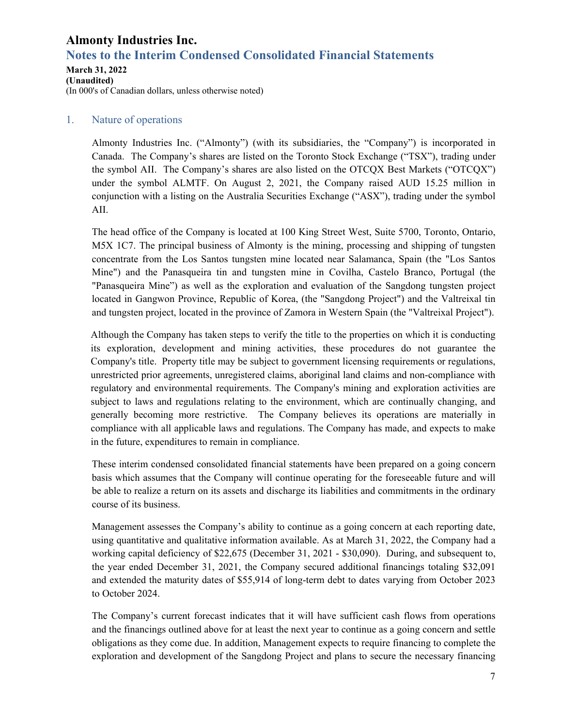# **Notes to the Interim Condensed Consolidated Financial Statements**

### **March 31, 2022**

**(Unaudited)**  (In 000's of Canadian dollars, unless otherwise noted)

### 1. Nature of operations

Almonty Industries Inc. ("Almonty") (with its subsidiaries, the "Company") is incorporated in Canada. The Company's shares are listed on the Toronto Stock Exchange ("TSX"), trading under the symbol AII. The Company's shares are also listed on the OTCQX Best Markets ("OTCQX") under the symbol ALMTF. On August 2, 2021, the Company raised AUD 15.25 million in conjunction with a listing on the Australia Securities Exchange ("ASX"), trading under the symbol AII.

The head office of the Company is located at 100 King Street West, Suite 5700, Toronto, Ontario, M5X 1C7. The principal business of Almonty is the mining, processing and shipping of tungsten concentrate from the Los Santos tungsten mine located near Salamanca, Spain (the "Los Santos Mine") and the Panasqueira tin and tungsten mine in Covilha, Castelo Branco, Portugal (the "Panasqueira Mine") as well as the exploration and evaluation of the Sangdong tungsten project located in Gangwon Province, Republic of Korea, (the "Sangdong Project") and the Valtreixal tin and tungsten project, located in the province of Zamora in Western Spain (the "Valtreixal Project").

Although the Company has taken steps to verify the title to the properties on which it is conducting its exploration, development and mining activities, these procedures do not guarantee the Company's title. Property title may be subject to government licensing requirements or regulations, unrestricted prior agreements, unregistered claims, aboriginal land claims and non-compliance with regulatory and environmental requirements. The Company's mining and exploration activities are subject to laws and regulations relating to the environment, which are continually changing, and generally becoming more restrictive. The Company believes its operations are materially in compliance with all applicable laws and regulations. The Company has made, and expects to make in the future, expenditures to remain in compliance.

These interim condensed consolidated financial statements have been prepared on a going concern basis which assumes that the Company will continue operating for the foreseeable future and will be able to realize a return on its assets and discharge its liabilities and commitments in the ordinary course of its business.

Management assesses the Company's ability to continue as a going concern at each reporting date, using quantitative and qualitative information available. As at March 31, 2022, the Company had a working capital deficiency of \$22,675 (December 31, 2021 - \$30,090). During, and subsequent to, the year ended December 31, 2021, the Company secured additional financings totaling \$32,091 and extended the maturity dates of \$55,914 of long-term debt to dates varying from October 2023 to October 2024.

The Company's current forecast indicates that it will have sufficient cash flows from operations and the financings outlined above for at least the next year to continue as a going concern and settle obligations as they come due. In addition, Management expects to require financing to complete the exploration and development of the Sangdong Project and plans to secure the necessary financing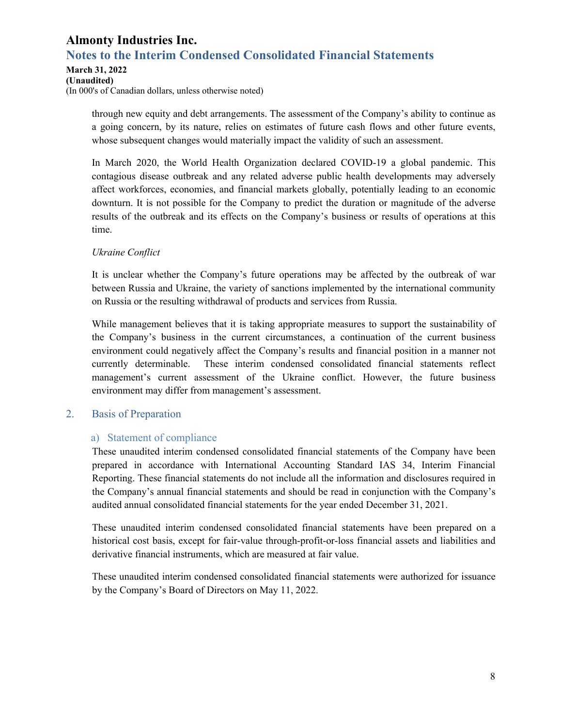### **Almonty Industries Inc. Notes to the Interim Condensed Consolidated Financial Statements**

#### **March 31, 2022**

**(Unaudited)**  (In 000's of Canadian dollars, unless otherwise noted)

> through new equity and debt arrangements. The assessment of the Company's ability to continue as a going concern, by its nature, relies on estimates of future cash flows and other future events, whose subsequent changes would materially impact the validity of such an assessment.

> In March 2020, the World Health Organization declared COVID-19 a global pandemic. This contagious disease outbreak and any related adverse public health developments may adversely affect workforces, economies, and financial markets globally, potentially leading to an economic downturn. It is not possible for the Company to predict the duration or magnitude of the adverse results of the outbreak and its effects on the Company's business or results of operations at this time.

### *Ukraine Conflict*

It is unclear whether the Company's future operations may be affected by the outbreak of war between Russia and Ukraine, the variety of sanctions implemented by the international community on Russia or the resulting withdrawal of products and services from Russia.

While management believes that it is taking appropriate measures to support the sustainability of the Company's business in the current circumstances, a continuation of the current business environment could negatively affect the Company's results and financial position in a manner not currently determinable. These interim condensed consolidated financial statements reflect management's current assessment of the Ukraine conflict. However, the future business environment may differ from management's assessment.

### 2. Basis of Preparation

### a) Statement of compliance

These unaudited interim condensed consolidated financial statements of the Company have been prepared in accordance with International Accounting Standard IAS 34, Interim Financial Reporting. These financial statements do not include all the information and disclosures required in the Company's annual financial statements and should be read in conjunction with the Company's audited annual consolidated financial statements for the year ended December 31, 2021.

These unaudited interim condensed consolidated financial statements have been prepared on a historical cost basis, except for fair-value through-profit-or-loss financial assets and liabilities and derivative financial instruments, which are measured at fair value.

These unaudited interim condensed consolidated financial statements were authorized for issuance by the Company's Board of Directors on May 11, 2022.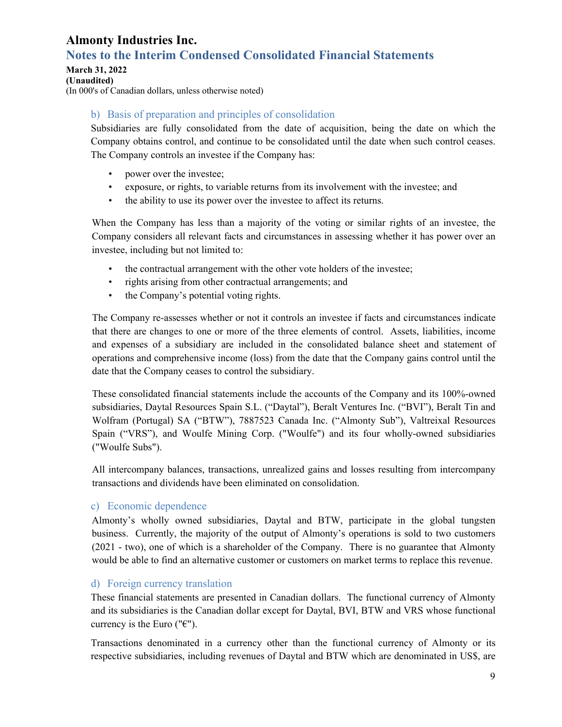# **Notes to the Interim Condensed Consolidated Financial Statements**

**March 31, 2022** 

**(Unaudited)** 

(In 000's of Canadian dollars, unless otherwise noted)

### b) Basis of preparation and principles of consolidation

Subsidiaries are fully consolidated from the date of acquisition, being the date on which the Company obtains control, and continue to be consolidated until the date when such control ceases. The Company controls an investee if the Company has:

- power over the investee;
- exposure, or rights, to variable returns from its involvement with the investee; and
- the ability to use its power over the investee to affect its returns.

When the Company has less than a majority of the voting or similar rights of an investee, the Company considers all relevant facts and circumstances in assessing whether it has power over an investee, including but not limited to:

- the contractual arrangement with the other vote holders of the investee;
- rights arising from other contractual arrangements; and
- the Company's potential voting rights.

The Company re-assesses whether or not it controls an investee if facts and circumstances indicate that there are changes to one or more of the three elements of control. Assets, liabilities, income and expenses of a subsidiary are included in the consolidated balance sheet and statement of operations and comprehensive income (loss) from the date that the Company gains control until the date that the Company ceases to control the subsidiary.

These consolidated financial statements include the accounts of the Company and its 100%-owned subsidiaries, Daytal Resources Spain S.L. ("Daytal"), Beralt Ventures Inc. ("BVI"), Beralt Tin and Wolfram (Portugal) SA ("BTW"), 7887523 Canada Inc. ("Almonty Sub"), Valtreixal Resources Spain ("VRS"), and Woulfe Mining Corp. ("Woulfe") and its four wholly-owned subsidiaries ("Woulfe Subs").

All intercompany balances, transactions, unrealized gains and losses resulting from intercompany transactions and dividends have been eliminated on consolidation.

### c) Economic dependence

Almonty's wholly owned subsidiaries, Daytal and BTW, participate in the global tungsten business. Currently, the majority of the output of Almonty's operations is sold to two customers (2021 - two), one of which is a shareholder of the Company. There is no guarantee that Almonty would be able to find an alternative customer or customers on market terms to replace this revenue.

### d) Foreign currency translation

These financial statements are presented in Canadian dollars. The functional currency of Almonty and its subsidiaries is the Canadian dollar except for Daytal, BVI, BTW and VRS whose functional currency is the Euro ( $\mathcal{C}$ ").

Transactions denominated in a currency other than the functional currency of Almonty or its respective subsidiaries, including revenues of Daytal and BTW which are denominated in US\$, are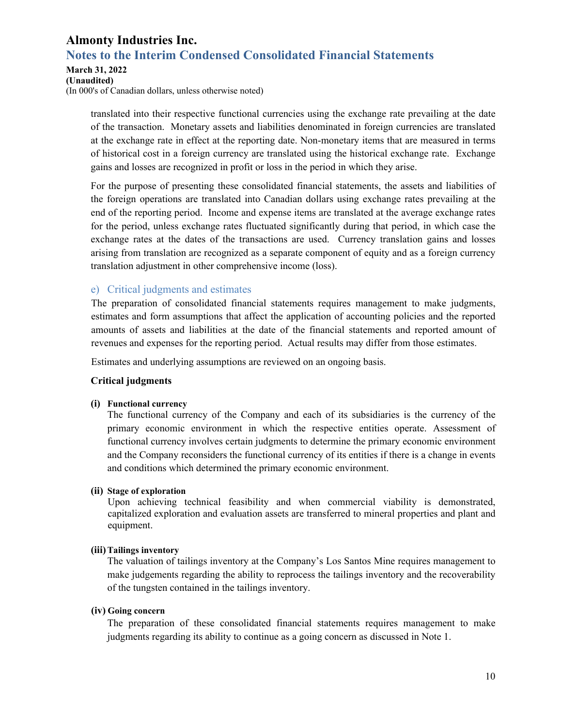### **Notes to the Interim Condensed Consolidated Financial Statements**

#### **March 31, 2022**

**(Unaudited)**  (In 000's of Canadian dollars, unless otherwise noted)

> translated into their respective functional currencies using the exchange rate prevailing at the date of the transaction. Monetary assets and liabilities denominated in foreign currencies are translated at the exchange rate in effect at the reporting date. Non-monetary items that are measured in terms of historical cost in a foreign currency are translated using the historical exchange rate. Exchange gains and losses are recognized in profit or loss in the period in which they arise.

> For the purpose of presenting these consolidated financial statements, the assets and liabilities of the foreign operations are translated into Canadian dollars using exchange rates prevailing at the end of the reporting period. Income and expense items are translated at the average exchange rates for the period, unless exchange rates fluctuated significantly during that period, in which case the exchange rates at the dates of the transactions are used. Currency translation gains and losses arising from translation are recognized as a separate component of equity and as a foreign currency translation adjustment in other comprehensive income (loss).

### e) Critical judgments and estimates

The preparation of consolidated financial statements requires management to make judgments, estimates and form assumptions that affect the application of accounting policies and the reported amounts of assets and liabilities at the date of the financial statements and reported amount of revenues and expenses for the reporting period. Actual results may differ from those estimates.

Estimates and underlying assumptions are reviewed on an ongoing basis.

### **Critical judgments**

### **(i) Functional currency**

The functional currency of the Company and each of its subsidiaries is the currency of the primary economic environment in which the respective entities operate. Assessment of functional currency involves certain judgments to determine the primary economic environment and the Company reconsiders the functional currency of its entities if there is a change in events and conditions which determined the primary economic environment.

### **(ii) Stage of exploration**

Upon achieving technical feasibility and when commercial viability is demonstrated, capitalized exploration and evaluation assets are transferred to mineral properties and plant and equipment.

### **(iii)Tailings inventory**

The valuation of tailings inventory at the Company's Los Santos Mine requires management to make judgements regarding the ability to reprocess the tailings inventory and the recoverability of the tungsten contained in the tailings inventory.

### **(iv) Going concern**

The preparation of these consolidated financial statements requires management to make judgments regarding its ability to continue as a going concern as discussed in Note 1.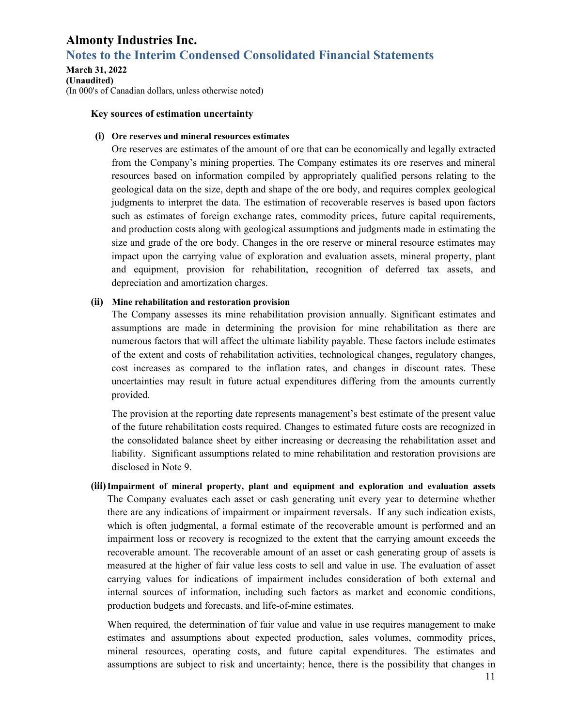### **Notes to the Interim Condensed Consolidated Financial Statements**

#### **March 31, 2022 (Unaudited)**  (In 000's of Canadian dollars, unless otherwise noted)

#### **Key sources of estimation uncertainty**

#### **(i) Ore reserves and mineral resources estimates**

Ore reserves are estimates of the amount of ore that can be economically and legally extracted from the Company's mining properties. The Company estimates its ore reserves and mineral resources based on information compiled by appropriately qualified persons relating to the geological data on the size, depth and shape of the ore body, and requires complex geological judgments to interpret the data. The estimation of recoverable reserves is based upon factors such as estimates of foreign exchange rates, commodity prices, future capital requirements, and production costs along with geological assumptions and judgments made in estimating the size and grade of the ore body. Changes in the ore reserve or mineral resource estimates may impact upon the carrying value of exploration and evaluation assets, mineral property, plant and equipment, provision for rehabilitation, recognition of deferred tax assets, and depreciation and amortization charges.

#### **(ii) Mine rehabilitation and restoration provision**

The Company assesses its mine rehabilitation provision annually. Significant estimates and assumptions are made in determining the provision for mine rehabilitation as there are numerous factors that will affect the ultimate liability payable. These factors include estimates of the extent and costs of rehabilitation activities, technological changes, regulatory changes, cost increases as compared to the inflation rates, and changes in discount rates. These uncertainties may result in future actual expenditures differing from the amounts currently provided.

The provision at the reporting date represents management's best estimate of the present value of the future rehabilitation costs required. Changes to estimated future costs are recognized in the consolidated balance sheet by either increasing or decreasing the rehabilitation asset and liability. Significant assumptions related to mine rehabilitation and restoration provisions are disclosed in Note 9.

**(iii)Impairment of mineral property, plant and equipment and exploration and evaluation assets** The Company evaluates each asset or cash generating unit every year to determine whether there are any indications of impairment or impairment reversals. If any such indication exists, which is often judgmental, a formal estimate of the recoverable amount is performed and an impairment loss or recovery is recognized to the extent that the carrying amount exceeds the recoverable amount. The recoverable amount of an asset or cash generating group of assets is measured at the higher of fair value less costs to sell and value in use. The evaluation of asset carrying values for indications of impairment includes consideration of both external and internal sources of information, including such factors as market and economic conditions, production budgets and forecasts, and life-of-mine estimates.

When required, the determination of fair value and value in use requires management to make estimates and assumptions about expected production, sales volumes, commodity prices, mineral resources, operating costs, and future capital expenditures. The estimates and assumptions are subject to risk and uncertainty; hence, there is the possibility that changes in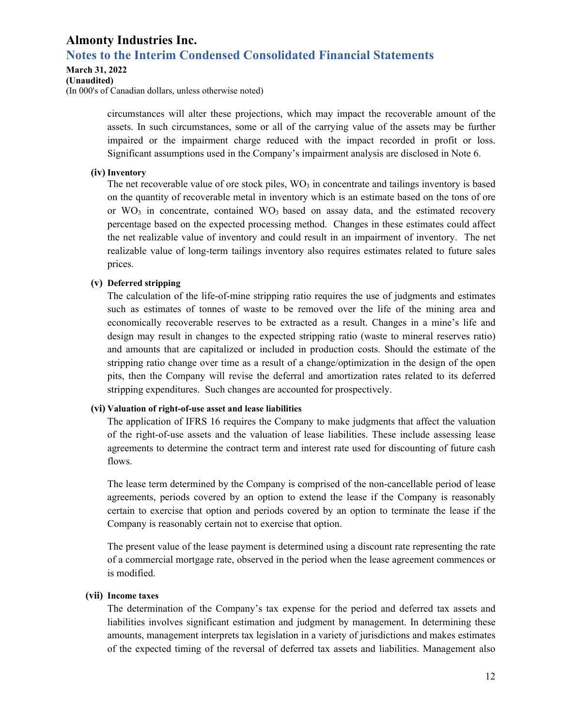### **Notes to the Interim Condensed Consolidated Financial Statements**

#### **March 31, 2022**

#### **(Unaudited)**

(In 000's of Canadian dollars, unless otherwise noted)

circumstances will alter these projections, which may impact the recoverable amount of the assets. In such circumstances, some or all of the carrying value of the assets may be further impaired or the impairment charge reduced with the impact recorded in profit or loss. Significant assumptions used in the Company's impairment analysis are disclosed in Note 6.

#### **(iv) Inventory**

The net recoverable value of ore stock piles,  $WO<sub>3</sub>$  in concentrate and tailings inventory is based on the quantity of recoverable metal in inventory which is an estimate based on the tons of ore or  $WO_3$  in concentrate, contained  $WO_3$  based on assay data, and the estimated recovery percentage based on the expected processing method. Changes in these estimates could affect the net realizable value of inventory and could result in an impairment of inventory. The net realizable value of long-term tailings inventory also requires estimates related to future sales prices.

#### **(v) Deferred stripping**

The calculation of the life-of-mine stripping ratio requires the use of judgments and estimates such as estimates of tonnes of waste to be removed over the life of the mining area and economically recoverable reserves to be extracted as a result. Changes in a mine's life and design may result in changes to the expected stripping ratio (waste to mineral reserves ratio) and amounts that are capitalized or included in production costs. Should the estimate of the stripping ratio change over time as a result of a change/optimization in the design of the open pits, then the Company will revise the deferral and amortization rates related to its deferred stripping expenditures. Such changes are accounted for prospectively.

#### **(vi) Valuation of right-of-use asset and lease liabilities**

The application of IFRS 16 requires the Company to make judgments that affect the valuation of the right-of-use assets and the valuation of lease liabilities. These include assessing lease agreements to determine the contract term and interest rate used for discounting of future cash flows.

The lease term determined by the Company is comprised of the non-cancellable period of lease agreements, periods covered by an option to extend the lease if the Company is reasonably certain to exercise that option and periods covered by an option to terminate the lease if the Company is reasonably certain not to exercise that option.

The present value of the lease payment is determined using a discount rate representing the rate of a commercial mortgage rate, observed in the period when the lease agreement commences or is modified.

#### **(vii) Income taxes**

The determination of the Company's tax expense for the period and deferred tax assets and liabilities involves significant estimation and judgment by management. In determining these amounts, management interprets tax legislation in a variety of jurisdictions and makes estimates of the expected timing of the reversal of deferred tax assets and liabilities. Management also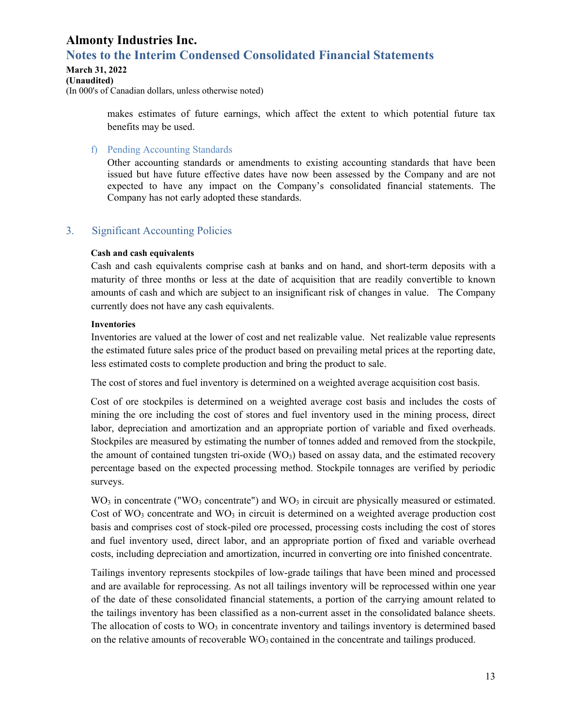# **Notes to the Interim Condensed Consolidated Financial Statements**

### **March 31, 2022**

**(Unaudited)**  (In 000's of Canadian dollars, unless otherwise noted)

> makes estimates of future earnings, which affect the extent to which potential future tax benefits may be used.

f) Pending Accounting Standards

Other accounting standards or amendments to existing accounting standards that have been issued but have future effective dates have now been assessed by the Company and are not expected to have any impact on the Company's consolidated financial statements. The Company has not early adopted these standards.

### 3. Significant Accounting Policies

### **Cash and cash equivalents**

Cash and cash equivalents comprise cash at banks and on hand, and short-term deposits with a maturity of three months or less at the date of acquisition that are readily convertible to known amounts of cash and which are subject to an insignificant risk of changes in value. The Company currently does not have any cash equivalents.

### **Inventories**

Inventories are valued at the lower of cost and net realizable value. Net realizable value represents the estimated future sales price of the product based on prevailing metal prices at the reporting date, less estimated costs to complete production and bring the product to sale.

The cost of stores and fuel inventory is determined on a weighted average acquisition cost basis.

Cost of ore stockpiles is determined on a weighted average cost basis and includes the costs of mining the ore including the cost of stores and fuel inventory used in the mining process, direct labor, depreciation and amortization and an appropriate portion of variable and fixed overheads. Stockpiles are measured by estimating the number of tonnes added and removed from the stockpile, the amount of contained tungsten tri-oxide  $(WO_3)$  based on assay data, and the estimated recovery percentage based on the expected processing method. Stockpile tonnages are verified by periodic surveys.

 $WO<sub>3</sub>$  in concentrate ("WO<sub>3</sub> concentrate") and WO<sub>3</sub> in circuit are physically measured or estimated. Cost of  $WO_3$  concentrate and  $WO_3$  in circuit is determined on a weighted average production cost basis and comprises cost of stock-piled ore processed, processing costs including the cost of stores and fuel inventory used, direct labor, and an appropriate portion of fixed and variable overhead costs, including depreciation and amortization, incurred in converting ore into finished concentrate.

Tailings inventory represents stockpiles of low-grade tailings that have been mined and processed and are available for reprocessing. As not all tailings inventory will be reprocessed within one year of the date of these consolidated financial statements, a portion of the carrying amount related to the tailings inventory has been classified as a non-current asset in the consolidated balance sheets. The allocation of costs to  $WO<sub>3</sub>$  in concentrate inventory and tailings inventory is determined based on the relative amounts of recoverable  $WO_3$  contained in the concentrate and tailings produced.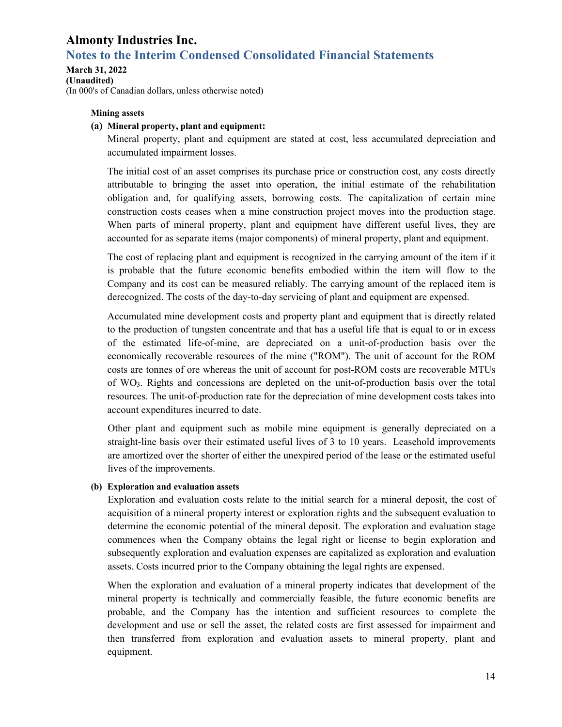# **Notes to the Interim Condensed Consolidated Financial Statements**

**March 31, 2022 (Unaudited)**  (In 000's of Canadian dollars, unless otherwise noted)

#### **Mining assets**

#### **(a) Mineral property, plant and equipment:**

Mineral property, plant and equipment are stated at cost, less accumulated depreciation and accumulated impairment losses.

The initial cost of an asset comprises its purchase price or construction cost, any costs directly attributable to bringing the asset into operation, the initial estimate of the rehabilitation obligation and, for qualifying assets, borrowing costs. The capitalization of certain mine construction costs ceases when a mine construction project moves into the production stage. When parts of mineral property, plant and equipment have different useful lives, they are accounted for as separate items (major components) of mineral property, plant and equipment.

The cost of replacing plant and equipment is recognized in the carrying amount of the item if it is probable that the future economic benefits embodied within the item will flow to the Company and its cost can be measured reliably. The carrying amount of the replaced item is derecognized. The costs of the day-to-day servicing of plant and equipment are expensed.

Accumulated mine development costs and property plant and equipment that is directly related to the production of tungsten concentrate and that has a useful life that is equal to or in excess of the estimated life-of-mine, are depreciated on a unit-of-production basis over the economically recoverable resources of the mine ("ROM"). The unit of account for the ROM costs are tonnes of ore whereas the unit of account for post-ROM costs are recoverable MTUs of WO3. Rights and concessions are depleted on the unit-of-production basis over the total resources. The unit-of-production rate for the depreciation of mine development costs takes into account expenditures incurred to date.

Other plant and equipment such as mobile mine equipment is generally depreciated on a straight-line basis over their estimated useful lives of 3 to 10 years. Leasehold improvements are amortized over the shorter of either the unexpired period of the lease or the estimated useful lives of the improvements.

#### **(b) Exploration and evaluation assets**

Exploration and evaluation costs relate to the initial search for a mineral deposit, the cost of acquisition of a mineral property interest or exploration rights and the subsequent evaluation to determine the economic potential of the mineral deposit. The exploration and evaluation stage commences when the Company obtains the legal right or license to begin exploration and subsequently exploration and evaluation expenses are capitalized as exploration and evaluation assets. Costs incurred prior to the Company obtaining the legal rights are expensed.

When the exploration and evaluation of a mineral property indicates that development of the mineral property is technically and commercially feasible, the future economic benefits are probable, and the Company has the intention and sufficient resources to complete the development and use or sell the asset, the related costs are first assessed for impairment and then transferred from exploration and evaluation assets to mineral property, plant and equipment.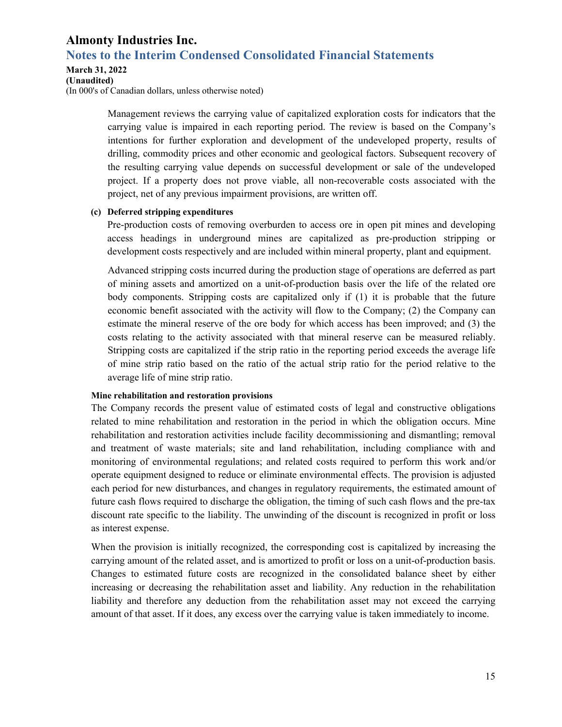### **Notes to the Interim Condensed Consolidated Financial Statements**

#### **March 31, 2022**

#### **(Unaudited)**

(In 000's of Canadian dollars, unless otherwise noted)

Management reviews the carrying value of capitalized exploration costs for indicators that the carrying value is impaired in each reporting period. The review is based on the Company's intentions for further exploration and development of the undeveloped property, results of drilling, commodity prices and other economic and geological factors. Subsequent recovery of the resulting carrying value depends on successful development or sale of the undeveloped project. If a property does not prove viable, all non-recoverable costs associated with the project, net of any previous impairment provisions, are written off.

#### **(c) Deferred stripping expenditures**

Pre-production costs of removing overburden to access ore in open pit mines and developing access headings in underground mines are capitalized as pre-production stripping or development costs respectively and are included within mineral property, plant and equipment.

Advanced stripping costs incurred during the production stage of operations are deferred as part of mining assets and amortized on a unit-of-production basis over the life of the related ore body components. Stripping costs are capitalized only if (1) it is probable that the future economic benefit associated with the activity will flow to the Company; (2) the Company can estimate the mineral reserve of the ore body for which access has been improved; and (3) the costs relating to the activity associated with that mineral reserve can be measured reliably. Stripping costs are capitalized if the strip ratio in the reporting period exceeds the average life of mine strip ratio based on the ratio of the actual strip ratio for the period relative to the average life of mine strip ratio.

#### **Mine rehabilitation and restoration provisions**

The Company records the present value of estimated costs of legal and constructive obligations related to mine rehabilitation and restoration in the period in which the obligation occurs. Mine rehabilitation and restoration activities include facility decommissioning and dismantling; removal and treatment of waste materials; site and land rehabilitation, including compliance with and monitoring of environmental regulations; and related costs required to perform this work and/or operate equipment designed to reduce or eliminate environmental effects. The provision is adjusted each period for new disturbances, and changes in regulatory requirements, the estimated amount of future cash flows required to discharge the obligation, the timing of such cash flows and the pre-tax discount rate specific to the liability. The unwinding of the discount is recognized in profit or loss as interest expense.

When the provision is initially recognized, the corresponding cost is capitalized by increasing the carrying amount of the related asset, and is amortized to profit or loss on a unit-of-production basis. Changes to estimated future costs are recognized in the consolidated balance sheet by either increasing or decreasing the rehabilitation asset and liability. Any reduction in the rehabilitation liability and therefore any deduction from the rehabilitation asset may not exceed the carrying amount of that asset. If it does, any excess over the carrying value is taken immediately to income.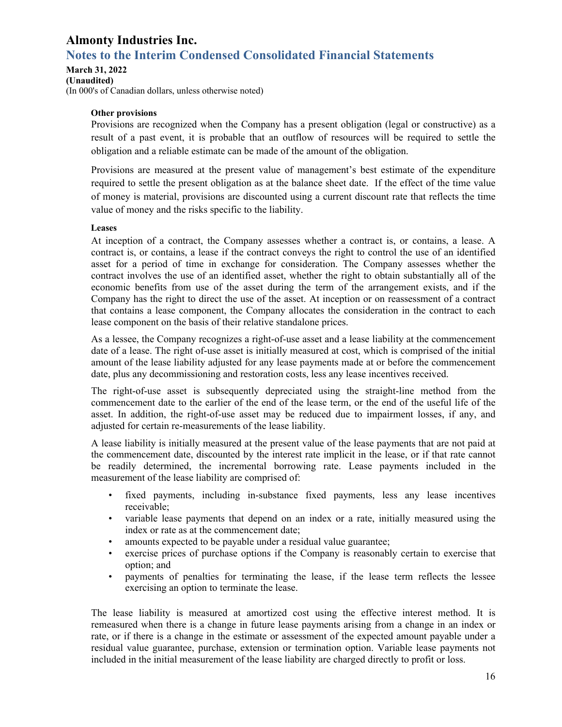# **Notes to the Interim Condensed Consolidated Financial Statements**

**March 31, 2022 (Unaudited)** 

(In 000's of Canadian dollars, unless otherwise noted)

### **Other provisions**

Provisions are recognized when the Company has a present obligation (legal or constructive) as a result of a past event, it is probable that an outflow of resources will be required to settle the obligation and a reliable estimate can be made of the amount of the obligation.

Provisions are measured at the present value of management's best estimate of the expenditure required to settle the present obligation as at the balance sheet date. If the effect of the time value of money is material, provisions are discounted using a current discount rate that reflects the time value of money and the risks specific to the liability.

#### **Leases**

At inception of a contract, the Company assesses whether a contract is, or contains, a lease. A contract is, or contains, a lease if the contract conveys the right to control the use of an identified asset for a period of time in exchange for consideration. The Company assesses whether the contract involves the use of an identified asset, whether the right to obtain substantially all of the economic benefits from use of the asset during the term of the arrangement exists, and if the Company has the right to direct the use of the asset. At inception or on reassessment of a contract that contains a lease component, the Company allocates the consideration in the contract to each lease component on the basis of their relative standalone prices.

As a lessee, the Company recognizes a right-of-use asset and a lease liability at the commencement date of a lease. The right of-use asset is initially measured at cost, which is comprised of the initial amount of the lease liability adjusted for any lease payments made at or before the commencement date, plus any decommissioning and restoration costs, less any lease incentives received.

The right-of-use asset is subsequently depreciated using the straight-line method from the commencement date to the earlier of the end of the lease term, or the end of the useful life of the asset. In addition, the right-of-use asset may be reduced due to impairment losses, if any, and adjusted for certain re-measurements of the lease liability.

A lease liability is initially measured at the present value of the lease payments that are not paid at the commencement date, discounted by the interest rate implicit in the lease, or if that rate cannot be readily determined, the incremental borrowing rate. Lease payments included in the measurement of the lease liability are comprised of:

- fixed payments, including in-substance fixed payments, less any lease incentives receivable;
- variable lease payments that depend on an index or a rate, initially measured using the index or rate as at the commencement date;
- amounts expected to be payable under a residual value guarantee;
- exercise prices of purchase options if the Company is reasonably certain to exercise that option; and
- payments of penalties for terminating the lease, if the lease term reflects the lessee exercising an option to terminate the lease.

The lease liability is measured at amortized cost using the effective interest method. It is remeasured when there is a change in future lease payments arising from a change in an index or rate, or if there is a change in the estimate or assessment of the expected amount payable under a residual value guarantee, purchase, extension or termination option. Variable lease payments not included in the initial measurement of the lease liability are charged directly to profit or loss.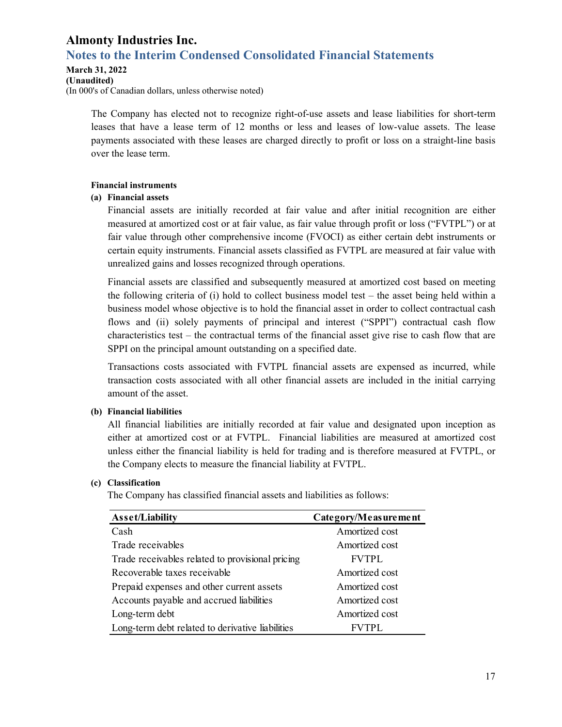# **Notes to the Interim Condensed Consolidated Financial Statements**

#### **March 31, 2022**

**(Unaudited)** 

(In 000's of Canadian dollars, unless otherwise noted)

The Company has elected not to recognize right-of-use assets and lease liabilities for short-term leases that have a lease term of 12 months or less and leases of low-value assets. The lease payments associated with these leases are charged directly to profit or loss on a straight-line basis over the lease term.

#### **Financial instruments**

#### **(a) Financial assets**

Financial assets are initially recorded at fair value and after initial recognition are either measured at amortized cost or at fair value, as fair value through profit or loss ("FVTPL") or at fair value through other comprehensive income (FVOCI) as either certain debt instruments or certain equity instruments. Financial assets classified as FVTPL are measured at fair value with unrealized gains and losses recognized through operations.

Financial assets are classified and subsequently measured at amortized cost based on meeting the following criteria of (i) hold to collect business model test – the asset being held within a business model whose objective is to hold the financial asset in order to collect contractual cash flows and (ii) solely payments of principal and interest ("SPPI") contractual cash flow characteristics test – the contractual terms of the financial asset give rise to cash flow that are SPPI on the principal amount outstanding on a specified date.

Transactions costs associated with FVTPL financial assets are expensed as incurred, while transaction costs associated with all other financial assets are included in the initial carrying amount of the asset.

### **(b) Financial liabilities**

All financial liabilities are initially recorded at fair value and designated upon inception as either at amortized cost or at FVTPL. Financial liabilities are measured at amortized cost unless either the financial liability is held for trading and is therefore measured at FVTPL, or the Company elects to measure the financial liability at FVTPL.

### **(c) Classification**

The Company has classified financial assets and liabilities as follows:

| Asset/Liability                                  | Category/Measurement |
|--------------------------------------------------|----------------------|
| Cash                                             | Amortized cost       |
| Trade receivables                                | Amortized cost       |
| Trade receivables related to provisional pricing | <b>FVTPL</b>         |
| Recoverable taxes receivable                     | Amortized cost       |
| Prepaid expenses and other current assets        | Amortized cost       |
| Accounts payable and accrued liabilities         | Amortized cost       |
| Long-term debt                                   | Amortized cost       |
| Long-term debt related to derivative liabilities | <b>FVTPL</b>         |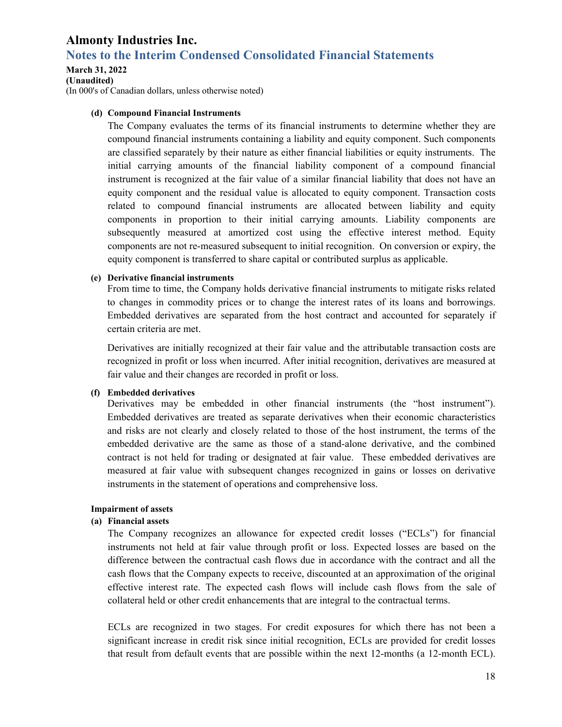### **Notes to the Interim Condensed Consolidated Financial Statements**

#### **March 31, 2022**

**(Unaudited)** 

(In 000's of Canadian dollars, unless otherwise noted)

#### **(d) Compound Financial Instruments**

The Company evaluates the terms of its financial instruments to determine whether they are compound financial instruments containing a liability and equity component. Such components are classified separately by their nature as either financial liabilities or equity instruments. The initial carrying amounts of the financial liability component of a compound financial instrument is recognized at the fair value of a similar financial liability that does not have an equity component and the residual value is allocated to equity component. Transaction costs related to compound financial instruments are allocated between liability and equity components in proportion to their initial carrying amounts. Liability components are subsequently measured at amortized cost using the effective interest method. Equity components are not re-measured subsequent to initial recognition. On conversion or expiry, the equity component is transferred to share capital or contributed surplus as applicable.

#### **(e) Derivative financial instruments**

From time to time, the Company holds derivative financial instruments to mitigate risks related to changes in commodity prices or to change the interest rates of its loans and borrowings. Embedded derivatives are separated from the host contract and accounted for separately if certain criteria are met.

Derivatives are initially recognized at their fair value and the attributable transaction costs are recognized in profit or loss when incurred. After initial recognition, derivatives are measured at fair value and their changes are recorded in profit or loss.

#### **(f) Embedded derivatives**

Derivatives may be embedded in other financial instruments (the "host instrument"). Embedded derivatives are treated as separate derivatives when their economic characteristics and risks are not clearly and closely related to those of the host instrument, the terms of the embedded derivative are the same as those of a stand-alone derivative, and the combined contract is not held for trading or designated at fair value. These embedded derivatives are measured at fair value with subsequent changes recognized in gains or losses on derivative instruments in the statement of operations and comprehensive loss.

#### **Impairment of assets**

#### **(a) Financial assets**

The Company recognizes an allowance for expected credit losses ("ECLs") for financial instruments not held at fair value through profit or loss. Expected losses are based on the difference between the contractual cash flows due in accordance with the contract and all the cash flows that the Company expects to receive, discounted at an approximation of the original effective interest rate. The expected cash flows will include cash flows from the sale of collateral held or other credit enhancements that are integral to the contractual terms.

ECLs are recognized in two stages. For credit exposures for which there has not been a significant increase in credit risk since initial recognition, ECLs are provided for credit losses that result from default events that are possible within the next 12-months (a 12-month ECL).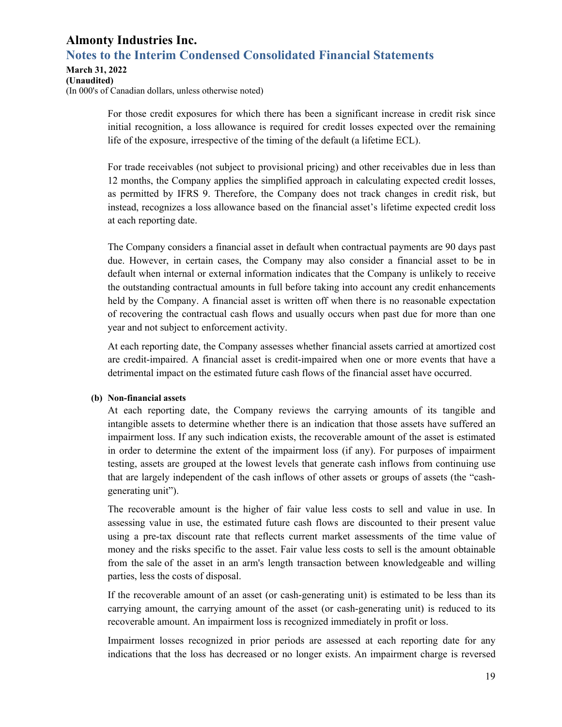### **Almonty Industries Inc. Notes to the Interim Condensed Consolidated Financial Statements**

**March 31, 2022** 

**(Unaudited)**  (In 000's of Canadian dollars, unless otherwise noted)

> For those credit exposures for which there has been a significant increase in credit risk since initial recognition, a loss allowance is required for credit losses expected over the remaining life of the exposure, irrespective of the timing of the default (a lifetime ECL).

> For trade receivables (not subject to provisional pricing) and other receivables due in less than 12 months, the Company applies the simplified approach in calculating expected credit losses, as permitted by IFRS 9. Therefore, the Company does not track changes in credit risk, but instead, recognizes a loss allowance based on the financial asset's lifetime expected credit loss at each reporting date.

> The Company considers a financial asset in default when contractual payments are 90 days past due. However, in certain cases, the Company may also consider a financial asset to be in default when internal or external information indicates that the Company is unlikely to receive the outstanding contractual amounts in full before taking into account any credit enhancements held by the Company. A financial asset is written off when there is no reasonable expectation of recovering the contractual cash flows and usually occurs when past due for more than one year and not subject to enforcement activity.

> At each reporting date, the Company assesses whether financial assets carried at amortized cost are credit-impaired. A financial asset is credit-impaired when one or more events that have a detrimental impact on the estimated future cash flows of the financial asset have occurred.

#### **(b) Non-financial assets**

At each reporting date, the Company reviews the carrying amounts of its tangible and intangible assets to determine whether there is an indication that those assets have suffered an impairment loss. If any such indication exists, the recoverable amount of the asset is estimated in order to determine the extent of the impairment loss (if any). For purposes of impairment testing, assets are grouped at the lowest levels that generate cash inflows from continuing use that are largely independent of the cash inflows of other assets or groups of assets (the "cashgenerating unit").

The recoverable amount is the higher of fair value less costs to sell and value in use. In assessing value in use, the estimated future cash flows are discounted to their present value using a pre-tax discount rate that reflects current market assessments of the time value of money and the risks specific to the asset. Fair value less costs to sell is the amount obtainable from the sale of the asset in an arm's length transaction between knowledgeable and willing parties, less the costs of disposal.

If the recoverable amount of an asset (or cash-generating unit) is estimated to be less than its carrying amount, the carrying amount of the asset (or cash-generating unit) is reduced to its recoverable amount. An impairment loss is recognized immediately in profit or loss.

Impairment losses recognized in prior periods are assessed at each reporting date for any indications that the loss has decreased or no longer exists. An impairment charge is reversed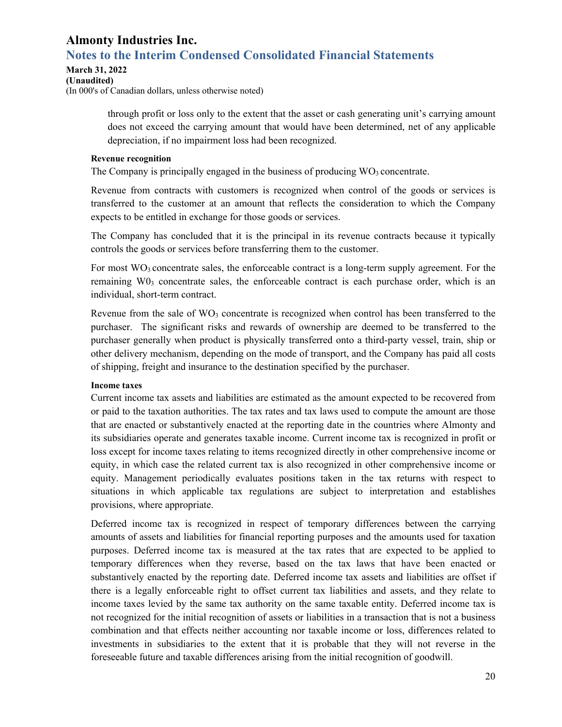# **Notes to the Interim Condensed Consolidated Financial Statements**

#### **March 31, 2022**

**(Unaudited)** 

(In 000's of Canadian dollars, unless otherwise noted)

through profit or loss only to the extent that the asset or cash generating unit's carrying amount does not exceed the carrying amount that would have been determined, net of any applicable depreciation, if no impairment loss had been recognized.

#### **Revenue recognition**

The Company is principally engaged in the business of producing  $WO_3$  concentrate.

Revenue from contracts with customers is recognized when control of the goods or services is transferred to the customer at an amount that reflects the consideration to which the Company expects to be entitled in exchange for those goods or services.

The Company has concluded that it is the principal in its revenue contracts because it typically controls the goods or services before transferring them to the customer.

For most  $WO_3$  concentrate sales, the enforceable contract is a long-term supply agreement. For the remaining  $W0_3$  concentrate sales, the enforceable contract is each purchase order, which is an individual, short-term contract.

Revenue from the sale of  $WO_3$  concentrate is recognized when control has been transferred to the purchaser. The significant risks and rewards of ownership are deemed to be transferred to the purchaser generally when product is physically transferred onto a third-party vessel, train, ship or other delivery mechanism, depending on the mode of transport, and the Company has paid all costs of shipping, freight and insurance to the destination specified by the purchaser.

### **Income taxes**

Current income tax assets and liabilities are estimated as the amount expected to be recovered from or paid to the taxation authorities. The tax rates and tax laws used to compute the amount are those that are enacted or substantively enacted at the reporting date in the countries where Almonty and its subsidiaries operate and generates taxable income. Current income tax is recognized in profit or loss except for income taxes relating to items recognized directly in other comprehensive income or equity, in which case the related current tax is also recognized in other comprehensive income or equity. Management periodically evaluates positions taken in the tax returns with respect to situations in which applicable tax regulations are subject to interpretation and establishes provisions, where appropriate.

Deferred income tax is recognized in respect of temporary differences between the carrying amounts of assets and liabilities for financial reporting purposes and the amounts used for taxation purposes. Deferred income tax is measured at the tax rates that are expected to be applied to temporary differences when they reverse, based on the tax laws that have been enacted or substantively enacted by the reporting date. Deferred income tax assets and liabilities are offset if there is a legally enforceable right to offset current tax liabilities and assets, and they relate to income taxes levied by the same tax authority on the same taxable entity. Deferred income tax is not recognized for the initial recognition of assets or liabilities in a transaction that is not a business combination and that effects neither accounting nor taxable income or loss, differences related to investments in subsidiaries to the extent that it is probable that they will not reverse in the foreseeable future and taxable differences arising from the initial recognition of goodwill.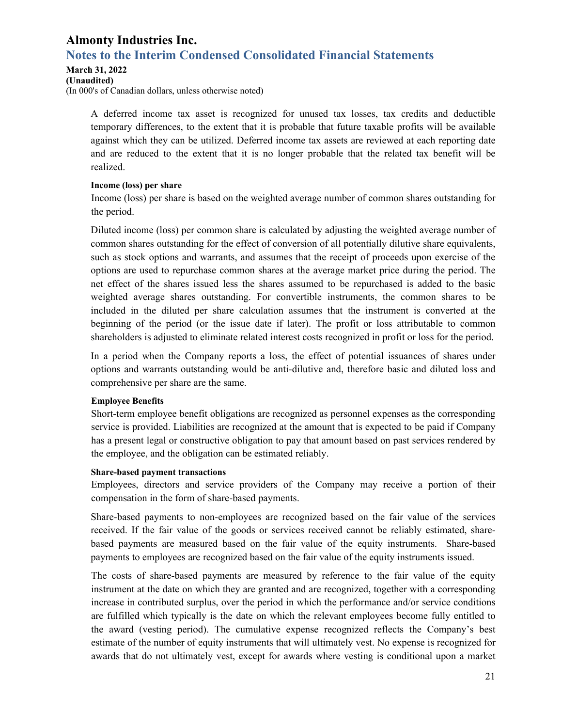# **Notes to the Interim Condensed Consolidated Financial Statements**

### **March 31, 2022**

#### **(Unaudited)**

(In 000's of Canadian dollars, unless otherwise noted)

A deferred income tax asset is recognized for unused tax losses, tax credits and deductible temporary differences, to the extent that it is probable that future taxable profits will be available against which they can be utilized. Deferred income tax assets are reviewed at each reporting date and are reduced to the extent that it is no longer probable that the related tax benefit will be realized.

#### **Income (loss) per share**

Income (loss) per share is based on the weighted average number of common shares outstanding for the period.

Diluted income (loss) per common share is calculated by adjusting the weighted average number of common shares outstanding for the effect of conversion of all potentially dilutive share equivalents, such as stock options and warrants, and assumes that the receipt of proceeds upon exercise of the options are used to repurchase common shares at the average market price during the period. The net effect of the shares issued less the shares assumed to be repurchased is added to the basic weighted average shares outstanding. For convertible instruments, the common shares to be included in the diluted per share calculation assumes that the instrument is converted at the beginning of the period (or the issue date if later). The profit or loss attributable to common shareholders is adjusted to eliminate related interest costs recognized in profit or loss for the period.

In a period when the Company reports a loss, the effect of potential issuances of shares under options and warrants outstanding would be anti-dilutive and, therefore basic and diluted loss and comprehensive per share are the same.

#### **Employee Benefits**

Short-term employee benefit obligations are recognized as personnel expenses as the corresponding service is provided. Liabilities are recognized at the amount that is expected to be paid if Company has a present legal or constructive obligation to pay that amount based on past services rendered by the employee, and the obligation can be estimated reliably.

#### **Share-based payment transactions**

Employees, directors and service providers of the Company may receive a portion of their compensation in the form of share-based payments.

Share-based payments to non-employees are recognized based on the fair value of the services received. If the fair value of the goods or services received cannot be reliably estimated, sharebased payments are measured based on the fair value of the equity instruments. Share-based payments to employees are recognized based on the fair value of the equity instruments issued.

The costs of share-based payments are measured by reference to the fair value of the equity instrument at the date on which they are granted and are recognized, together with a corresponding increase in contributed surplus, over the period in which the performance and/or service conditions are fulfilled which typically is the date on which the relevant employees become fully entitled to the award (vesting period). The cumulative expense recognized reflects the Company's best estimate of the number of equity instruments that will ultimately vest. No expense is recognized for awards that do not ultimately vest, except for awards where vesting is conditional upon a market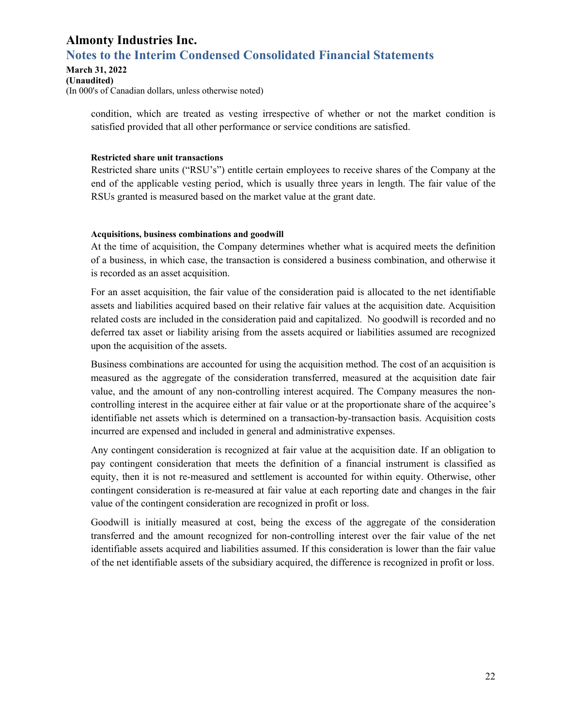### **Almonty Industries Inc. Notes to the Interim Condensed Consolidated Financial Statements**

**March 31, 2022 (Unaudited)**  (In 000's of Canadian dollars, unless otherwise noted)

> condition, which are treated as vesting irrespective of whether or not the market condition is satisfied provided that all other performance or service conditions are satisfied.

#### **Restricted share unit transactions**

Restricted share units ("RSU's") entitle certain employees to receive shares of the Company at the end of the applicable vesting period, which is usually three years in length. The fair value of the RSUs granted is measured based on the market value at the grant date.

#### **Acquisitions, business combinations and goodwill**

At the time of acquisition, the Company determines whether what is acquired meets the definition of a business, in which case, the transaction is considered a business combination, and otherwise it is recorded as an asset acquisition.

For an asset acquisition, the fair value of the consideration paid is allocated to the net identifiable assets and liabilities acquired based on their relative fair values at the acquisition date. Acquisition related costs are included in the consideration paid and capitalized. No goodwill is recorded and no deferred tax asset or liability arising from the assets acquired or liabilities assumed are recognized upon the acquisition of the assets.

Business combinations are accounted for using the acquisition method. The cost of an acquisition is measured as the aggregate of the consideration transferred, measured at the acquisition date fair value, and the amount of any non-controlling interest acquired. The Company measures the noncontrolling interest in the acquiree either at fair value or at the proportionate share of the acquiree's identifiable net assets which is determined on a transaction-by-transaction basis. Acquisition costs incurred are expensed and included in general and administrative expenses.

Any contingent consideration is recognized at fair value at the acquisition date. If an obligation to pay contingent consideration that meets the definition of a financial instrument is classified as equity, then it is not re-measured and settlement is accounted for within equity. Otherwise, other contingent consideration is re-measured at fair value at each reporting date and changes in the fair value of the contingent consideration are recognized in profit or loss.

Goodwill is initially measured at cost, being the excess of the aggregate of the consideration transferred and the amount recognized for non-controlling interest over the fair value of the net identifiable assets acquired and liabilities assumed. If this consideration is lower than the fair value of the net identifiable assets of the subsidiary acquired, the difference is recognized in profit or loss.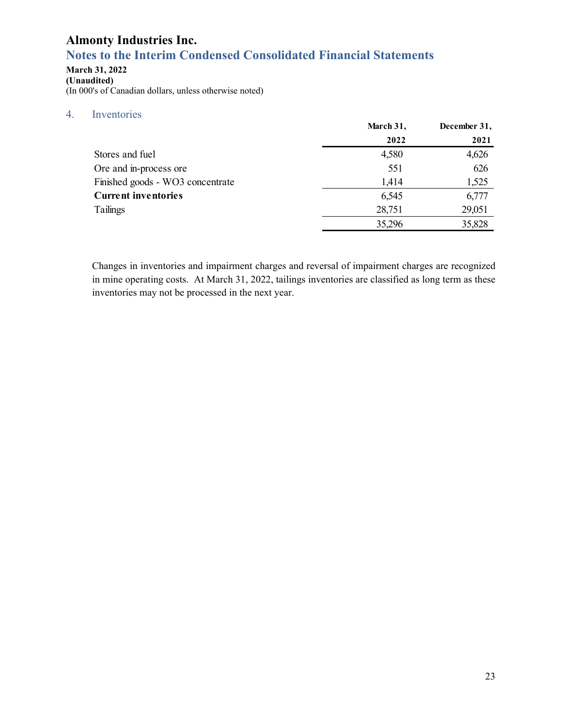# **Notes to the Interim Condensed Consolidated Financial Statements**

### **March 31, 2022**

**(Unaudited)**  (In 000's of Canadian dollars, unless otherwise noted)

### 4. Inventories

|                                  | March 31, | December 31, |
|----------------------------------|-----------|--------------|
|                                  | 2022      | 2021         |
| Stores and fuel                  | 4,580     | 4,626        |
| Ore and in-process ore           | 551       | 626          |
| Finished goods - WO3 concentrate | 1,414     | 1,525        |
| <b>Current inventories</b>       | 6,545     | 6,777        |
| Tailings                         | 28,751    | 29,051       |
|                                  | 35,296    | 35,828       |

Changes in inventories and impairment charges and reversal of impairment charges are recognized in mine operating costs. At March 31, 2022, tailings inventories are classified as long term as these inventories may not be processed in the next year.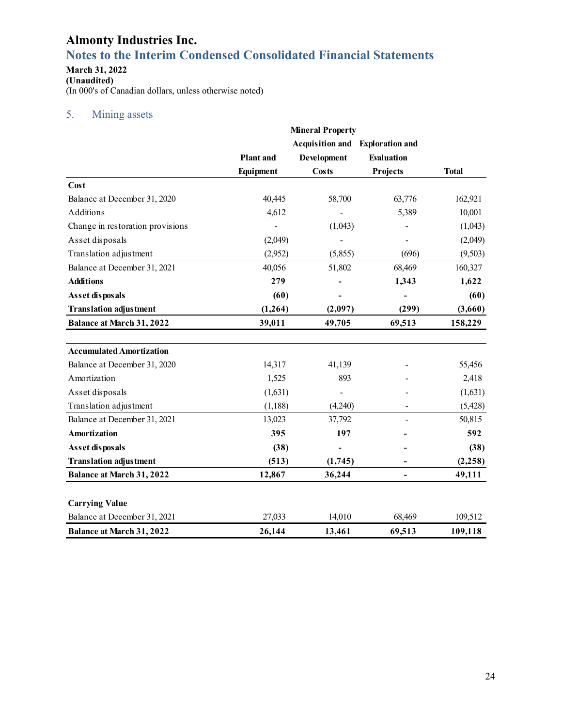# **Notes to the Interim Condensed Consolidated Financial Statements**

#### **March 31, 2022**

**(Unaudited)**  (In 000's of Canadian dollars, unless otherwise noted)

### 5. Mining assets

|                                  |                  | <b>Mineral Property</b>  |                                        |              |
|----------------------------------|------------------|--------------------------|----------------------------------------|--------------|
|                                  |                  |                          | <b>Acquisition and Exploration and</b> |              |
|                                  | <b>Plant</b> and | Development              | <b>Evaluation</b>                      |              |
|                                  | Equipment        | Costs                    | Projects                               | <b>Total</b> |
| Cost                             |                  |                          |                                        |              |
| Balance at December 31, 2020     | 40,445           | 58,700                   | 63,776                                 | 162,921      |
| Additions                        | 4,612            |                          | 5,389                                  | 10,001       |
| Change in restoration provisions |                  | (1,043)                  |                                        | (1,043)      |
| Asset disposals                  | (2,049)          |                          |                                        | (2,049)      |
| Translation adjustment           | (2,952)          | (5,855)                  | (696)                                  | (9,503)      |
| Balance at December 31, 2021     | 40,056           | 51,802                   | 68,469                                 | 160,327      |
| <b>Additions</b>                 | 279              |                          | 1,343                                  | 1,622        |
| Asset disposals                  | (60)             |                          |                                        | (60)         |
| <b>Translation adjustment</b>    | (1, 264)         | (2,097)                  | (299)                                  | (3,660)      |
| <b>Balance at March 31, 2022</b> | 39,011           | 49,705                   | 69,513                                 | 158,229      |
| <b>Accumulated Amortization</b>  |                  |                          |                                        |              |
| Balance at December 31, 2020     | 14,317           | 41,139                   |                                        | 55,456       |
| Amortization                     | 1,525            | 893                      |                                        | 2,418        |
| Asset disposals                  | (1,631)          | $\overline{\phantom{0}}$ |                                        | (1,631)      |
| Translation adjustment           | (1, 188)         | (4,240)                  |                                        | (5, 428)     |
| Balance at December 31, 2021     | 13,023           | 37,792                   |                                        | 50,815       |
| <b>Amortization</b>              | 395              | 197                      |                                        | 592          |
| Asset disposals                  | (38)             | $\overline{\phantom{0}}$ |                                        | (38)         |
| <b>Translation adjustment</b>    | (513)            | (1,745)                  |                                        | (2, 258)     |
| <b>Balance at March 31, 2022</b> | 12,867           | 36,244                   | ۰                                      | 49,111       |
| <b>Carrying Value</b>            |                  |                          |                                        |              |
| Balance at December 31, 2021     | 27,033           | 14,010                   | 68,469                                 | 109,512      |
| <b>Balance at March 31, 2022</b> | 26,144           | 13,461                   | 69,513                                 | 109,118      |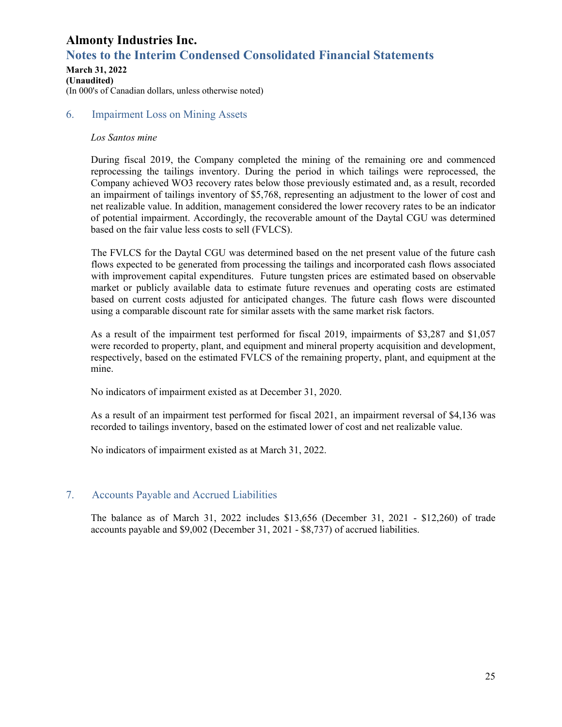# **Notes to the Interim Condensed Consolidated Financial Statements**

#### **March 31, 2022 (Unaudited)**  (In 000's of Canadian dollars, unless otherwise noted)

### 6. Impairment Loss on Mining Assets

#### *Los Santos mine*

During fiscal 2019, the Company completed the mining of the remaining ore and commenced reprocessing the tailings inventory. During the period in which tailings were reprocessed, the Company achieved WO3 recovery rates below those previously estimated and, as a result, recorded an impairment of tailings inventory of \$5,768, representing an adjustment to the lower of cost and net realizable value. In addition, management considered the lower recovery rates to be an indicator of potential impairment. Accordingly, the recoverable amount of the Daytal CGU was determined based on the fair value less costs to sell (FVLCS).

The FVLCS for the Daytal CGU was determined based on the net present value of the future cash flows expected to be generated from processing the tailings and incorporated cash flows associated with improvement capital expenditures. Future tungsten prices are estimated based on observable market or publicly available data to estimate future revenues and operating costs are estimated based on current costs adjusted for anticipated changes. The future cash flows were discounted using a comparable discount rate for similar assets with the same market risk factors.

As a result of the impairment test performed for fiscal 2019, impairments of \$3,287 and \$1,057 were recorded to property, plant, and equipment and mineral property acquisition and development, respectively, based on the estimated FVLCS of the remaining property, plant, and equipment at the mine.

No indicators of impairment existed as at December 31, 2020.

As a result of an impairment test performed for fiscal 2021, an impairment reversal of \$4,136 was recorded to tailings inventory, based on the estimated lower of cost and net realizable value.

No indicators of impairment existed as at March 31, 2022.

### 7. Accounts Payable and Accrued Liabilities

The balance as of March 31, 2022 includes \$13,656 (December 31, 2021 - \$12,260) of trade accounts payable and \$9,002 (December 31, 2021 - \$8,737) of accrued liabilities.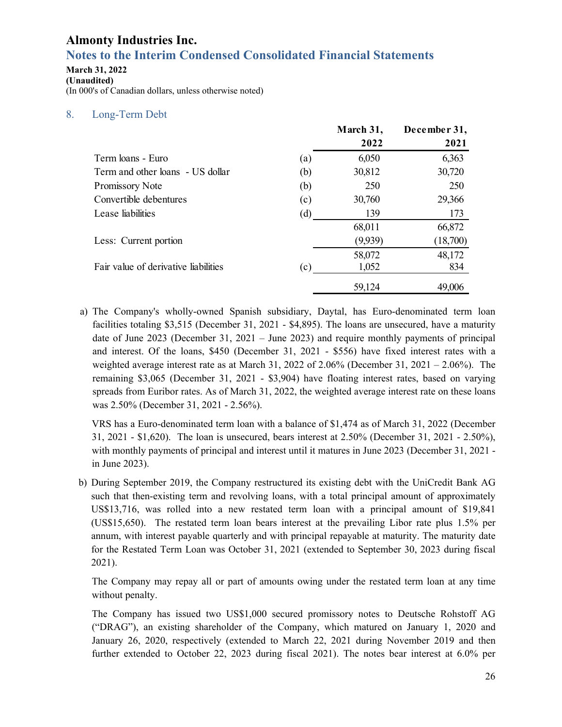# **Notes to the Interim Condensed Consolidated Financial Statements**

### **March 31, 2022**

**(Unaudited)**  (In 000's of Canadian dollars, unless otherwise noted)

### 8. Long-Term Debt

|                                      |     | March 31, | December 31, |
|--------------------------------------|-----|-----------|--------------|
|                                      |     | 2022      | 2021         |
| Term loans - Euro                    | (a) | 6,050     | 6,363        |
| Term and other loans - US dollar     | (b) | 30,812    | 30,720       |
| Promissory Note                      | (b) | 250       | 250          |
| Convertible debentures               | (c) | 30,760    | 29,366       |
| Lease liabilities                    | (d) | 139       | 173          |
|                                      |     | 68,011    | 66,872       |
| Less: Current portion                |     | (9,939)   | (18,700)     |
|                                      |     | 58,072    | 48,172       |
| Fair value of derivative liabilities | (c) | 1,052     | 834          |
|                                      |     | 59,124    | 49,006       |

a) The Company's wholly-owned Spanish subsidiary, Daytal, has Euro-denominated term loan facilities totaling \$3,515 (December 31, 2021 - \$4,895). The loans are unsecured, have a maturity date of June 2023 (December 31, 2021 – June 2023) and require monthly payments of principal and interest. Of the loans, \$450 (December 31, 2021 - \$556) have fixed interest rates with a weighted average interest rate as at March 31, 2022 of 2.06% (December 31, 2021 – 2.06%). The remaining \$3,065 (December 31, 2021 - \$3,904) have floating interest rates, based on varying spreads from Euribor rates. As of March 31, 2022, the weighted average interest rate on these loans was 2.50% (December 31, 2021 - 2.56%).

VRS has a Euro-denominated term loan with a balance of \$1,474 as of March 31, 2022 (December 31, 2021 - \$1,620). The loan is unsecured, bears interest at 2.50% (December 31, 2021 - 2.50%), with monthly payments of principal and interest until it matures in June 2023 (December 31, 2021 in June 2023).

b) During September 2019, the Company restructured its existing debt with the UniCredit Bank AG such that then-existing term and revolving loans, with a total principal amount of approximately US\$13,716, was rolled into a new restated term loan with a principal amount of \$19,841 (US\$15,650). The restated term loan bears interest at the prevailing Libor rate plus 1.5% per annum, with interest payable quarterly and with principal repayable at maturity. The maturity date for the Restated Term Loan was October 31, 2021 (extended to September 30, 2023 during fiscal 2021).

The Company may repay all or part of amounts owing under the restated term loan at any time without penalty.

The Company has issued two US\$1,000 secured promissory notes to Deutsche Rohstoff AG ("DRAG"), an existing shareholder of the Company, which matured on January 1, 2020 and January 26, 2020, respectively (extended to March 22, 2021 during November 2019 and then further extended to October 22, 2023 during fiscal 2021). The notes bear interest at 6.0% per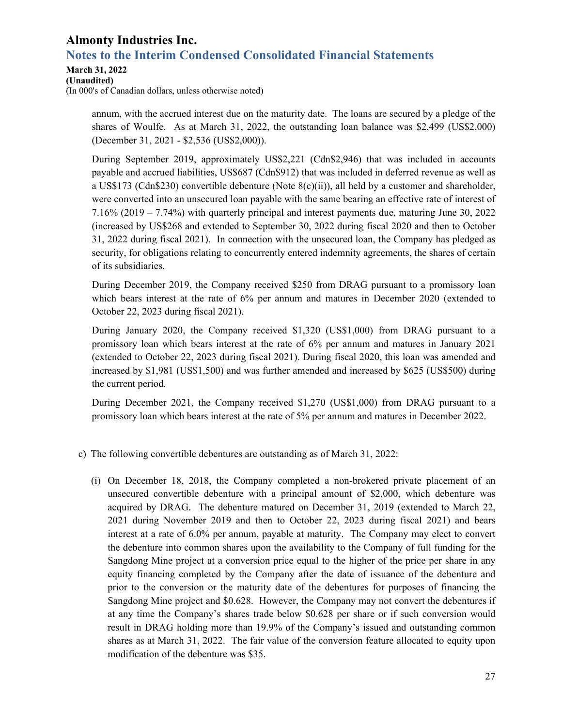# **Notes to the Interim Condensed Consolidated Financial Statements**

**March 31, 2022** 

**(Unaudited)**  (In 000's of Canadian dollars, unless otherwise noted)

> annum, with the accrued interest due on the maturity date. The loans are secured by a pledge of the shares of Woulfe. As at March 31, 2022, the outstanding loan balance was \$2,499 (US\$2,000) (December 31, 2021 - \$2,536 (US\$2,000)).

> During September 2019, approximately US\$2,221 (Cdn\$2,946) that was included in accounts payable and accrued liabilities, US\$687 (Cdn\$912) that was included in deferred revenue as well as a US\$173 (Cdn\$230) convertible debenture (Note  $8(c)(ii)$ ), all held by a customer and shareholder, were converted into an unsecured loan payable with the same bearing an effective rate of interest of 7.16% (2019 – 7.74%) with quarterly principal and interest payments due, maturing June 30, 2022 (increased by US\$268 and extended to September 30, 2022 during fiscal 2020 and then to October 31, 2022 during fiscal 2021). In connection with the unsecured loan, the Company has pledged as security, for obligations relating to concurrently entered indemnity agreements, the shares of certain of its subsidiaries.

> During December 2019, the Company received \$250 from DRAG pursuant to a promissory loan which bears interest at the rate of 6% per annum and matures in December 2020 (extended to October 22, 2023 during fiscal 2021).

> During January 2020, the Company received \$1,320 (US\$1,000) from DRAG pursuant to a promissory loan which bears interest at the rate of 6% per annum and matures in January 2021 (extended to October 22, 2023 during fiscal 2021). During fiscal 2020, this loan was amended and increased by \$1,981 (US\$1,500) and was further amended and increased by \$625 (US\$500) during the current period.

> During December 2021, the Company received \$1,270 (US\$1,000) from DRAG pursuant to a promissory loan which bears interest at the rate of 5% per annum and matures in December 2022.

- c) The following convertible debentures are outstanding as of March 31, 2022:
	- (i) On December 18, 2018, the Company completed a non-brokered private placement of an unsecured convertible debenture with a principal amount of \$2,000, which debenture was acquired by DRAG. The debenture matured on December 31, 2019 (extended to March 22, 2021 during November 2019 and then to October 22, 2023 during fiscal 2021) and bears interest at a rate of 6.0% per annum, payable at maturity. The Company may elect to convert the debenture into common shares upon the availability to the Company of full funding for the Sangdong Mine project at a conversion price equal to the higher of the price per share in any equity financing completed by the Company after the date of issuance of the debenture and prior to the conversion or the maturity date of the debentures for purposes of financing the Sangdong Mine project and \$0.628. However, the Company may not convert the debentures if at any time the Company's shares trade below \$0.628 per share or if such conversion would result in DRAG holding more than 19.9% of the Company's issued and outstanding common shares as at March 31, 2022. The fair value of the conversion feature allocated to equity upon modification of the debenture was \$35.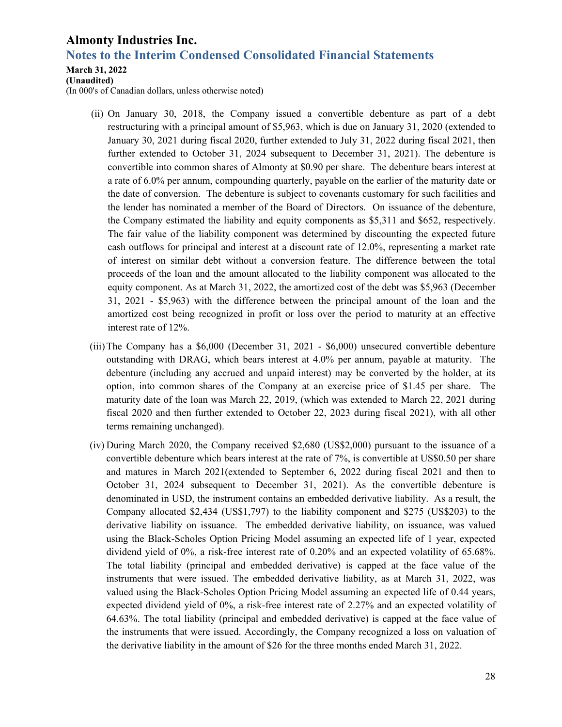### **Notes to the Interim Condensed Consolidated Financial Statements**

#### **March 31, 2022**

**(Unaudited)** 

(In 000's of Canadian dollars, unless otherwise noted)

- (ii) On January 30, 2018, the Company issued a convertible debenture as part of a debt restructuring with a principal amount of \$5,963, which is due on January 31, 2020 (extended to January 30, 2021 during fiscal 2020, further extended to July 31, 2022 during fiscal 2021, then further extended to October 31, 2024 subsequent to December 31, 2021). The debenture is convertible into common shares of Almonty at \$0.90 per share. The debenture bears interest at a rate of 6.0% per annum, compounding quarterly, payable on the earlier of the maturity date or the date of conversion. The debenture is subject to covenants customary for such facilities and the lender has nominated a member of the Board of Directors. On issuance of the debenture, the Company estimated the liability and equity components as \$5,311 and \$652, respectively. The fair value of the liability component was determined by discounting the expected future cash outflows for principal and interest at a discount rate of 12.0%, representing a market rate of interest on similar debt without a conversion feature. The difference between the total proceeds of the loan and the amount allocated to the liability component was allocated to the equity component. As at March 31, 2022, the amortized cost of the debt was \$5,963 (December 31, 2021 - \$5,963) with the difference between the principal amount of the loan and the amortized cost being recognized in profit or loss over the period to maturity at an effective interest rate of 12%.
- (iii)The Company has a \$6,000 (December 31, 2021 \$6,000) unsecured convertible debenture outstanding with DRAG, which bears interest at 4.0% per annum, payable at maturity. The debenture (including any accrued and unpaid interest) may be converted by the holder, at its option, into common shares of the Company at an exercise price of \$1.45 per share. The maturity date of the loan was March 22, 2019, (which was extended to March 22, 2021 during fiscal 2020 and then further extended to October 22, 2023 during fiscal 2021), with all other terms remaining unchanged).
- (iv) During March 2020, the Company received \$2,680 (US\$2,000) pursuant to the issuance of a convertible debenture which bears interest at the rate of 7%, is convertible at US\$0.50 per share and matures in March 2021(extended to September 6, 2022 during fiscal 2021 and then to October 31, 2024 subsequent to December 31, 2021). As the convertible debenture is denominated in USD, the instrument contains an embedded derivative liability. As a result, the Company allocated \$2,434 (US\$1,797) to the liability component and \$275 (US\$203) to the derivative liability on issuance. The embedded derivative liability, on issuance, was valued using the Black-Scholes Option Pricing Model assuming an expected life of 1 year, expected dividend yield of 0%, a risk-free interest rate of 0.20% and an expected volatility of 65.68%. The total liability (principal and embedded derivative) is capped at the face value of the instruments that were issued. The embedded derivative liability, as at March 31, 2022, was valued using the Black-Scholes Option Pricing Model assuming an expected life of 0.44 years, expected dividend yield of 0%, a risk-free interest rate of 2.27% and an expected volatility of 64.63%. The total liability (principal and embedded derivative) is capped at the face value of the instruments that were issued. Accordingly, the Company recognized a loss on valuation of the derivative liability in the amount of \$26 for the three months ended March 31, 2022.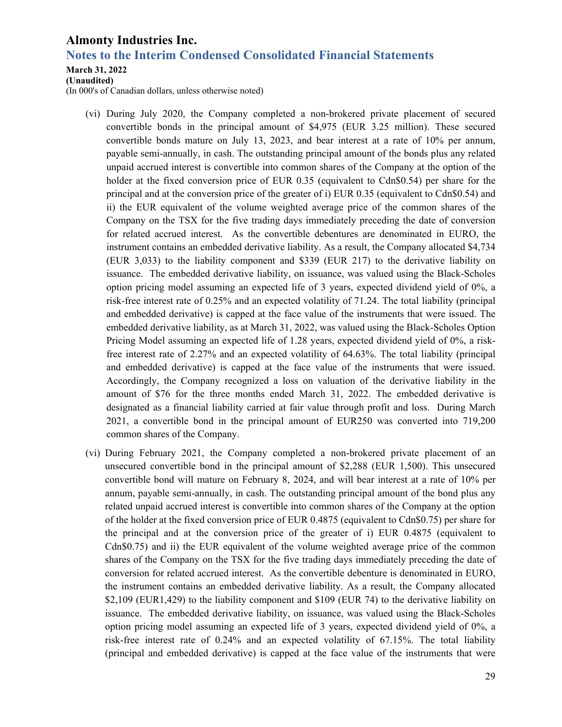### **Notes to the Interim Condensed Consolidated Financial Statements**

#### **March 31, 2022**

**(Unaudited)** 

(In 000's of Canadian dollars, unless otherwise noted)

- (vi) During July 2020, the Company completed a non-brokered private placement of secured convertible bonds in the principal amount of \$4,975 (EUR 3.25 million). These secured convertible bonds mature on July 13, 2023, and bear interest at a rate of 10% per annum, payable semi-annually, in cash. The outstanding principal amount of the bonds plus any related unpaid accrued interest is convertible into common shares of the Company at the option of the holder at the fixed conversion price of EUR 0.35 (equivalent to Cdn\$0.54) per share for the principal and at the conversion price of the greater of i) EUR 0.35 (equivalent to Cdn\$0.54) and ii) the EUR equivalent of the volume weighted average price of the common shares of the Company on the TSX for the five trading days immediately preceding the date of conversion for related accrued interest. As the convertible debentures are denominated in EURO, the instrument contains an embedded derivative liability. As a result, the Company allocated \$4,734 (EUR 3,033) to the liability component and \$339 (EUR 217) to the derivative liability on issuance. The embedded derivative liability, on issuance, was valued using the Black-Scholes option pricing model assuming an expected life of 3 years, expected dividend yield of 0%, a risk-free interest rate of 0.25% and an expected volatility of 71.24. The total liability (principal and embedded derivative) is capped at the face value of the instruments that were issued. The embedded derivative liability, as at March 31, 2022, was valued using the Black-Scholes Option Pricing Model assuming an expected life of 1.28 years, expected dividend yield of 0%, a riskfree interest rate of 2.27% and an expected volatility of 64.63%. The total liability (principal and embedded derivative) is capped at the face value of the instruments that were issued. Accordingly, the Company recognized a loss on valuation of the derivative liability in the amount of \$76 for the three months ended March 31, 2022. The embedded derivative is designated as a financial liability carried at fair value through profit and loss. During March 2021, a convertible bond in the principal amount of EUR250 was converted into 719,200 common shares of the Company.
- (vi) During February 2021, the Company completed a non-brokered private placement of an unsecured convertible bond in the principal amount of \$2,288 (EUR 1,500). This unsecured convertible bond will mature on February 8, 2024, and will bear interest at a rate of 10% per annum, payable semi-annually, in cash. The outstanding principal amount of the bond plus any related unpaid accrued interest is convertible into common shares of the Company at the option of the holder at the fixed conversion price of EUR 0.4875 (equivalent to Cdn\$0.75) per share for the principal and at the conversion price of the greater of i) EUR 0.4875 (equivalent to Cdn\$0.75) and ii) the EUR equivalent of the volume weighted average price of the common shares of the Company on the TSX for the five trading days immediately preceding the date of conversion for related accrued interest. As the convertible debenture is denominated in EURO, the instrument contains an embedded derivative liability. As a result, the Company allocated \$2,109 (EUR1,429) to the liability component and \$109 (EUR 74) to the derivative liability on issuance. The embedded derivative liability, on issuance, was valued using the Black-Scholes option pricing model assuming an expected life of 3 years, expected dividend yield of 0%, a risk-free interest rate of 0.24% and an expected volatility of 67.15%. The total liability (principal and embedded derivative) is capped at the face value of the instruments that were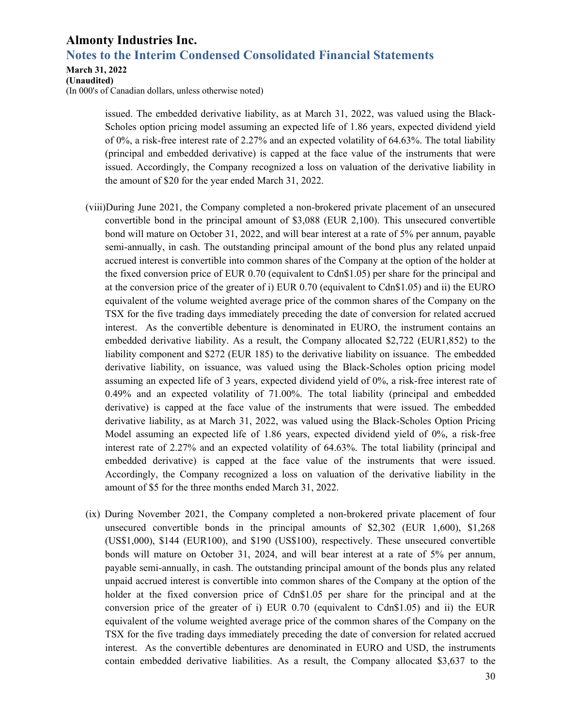### **Notes to the Interim Condensed Consolidated Financial Statements**

**March 31, 2022** 

**(Unaudited)** 

(In 000's of Canadian dollars, unless otherwise noted)

issued. The embedded derivative liability, as at March 31, 2022, was valued using the Black-Scholes option pricing model assuming an expected life of 1.86 years, expected dividend yield of 0%, a risk-free interest rate of 2.27% and an expected volatility of 64.63%. The total liability (principal and embedded derivative) is capped at the face value of the instruments that were issued. Accordingly, the Company recognized a loss on valuation of the derivative liability in the amount of \$20 for the year ended March 31, 2022.

- (viii)During June 2021, the Company completed a non-brokered private placement of an unsecured convertible bond in the principal amount of \$3,088 (EUR 2,100). This unsecured convertible bond will mature on October 31, 2022, and will bear interest at a rate of 5% per annum, payable semi-annually, in cash. The outstanding principal amount of the bond plus any related unpaid accrued interest is convertible into common shares of the Company at the option of the holder at the fixed conversion price of EUR 0.70 (equivalent to Cdn\$1.05) per share for the principal and at the conversion price of the greater of i) EUR 0.70 (equivalent to Cdn\$1.05) and ii) the EURO equivalent of the volume weighted average price of the common shares of the Company on the TSX for the five trading days immediately preceding the date of conversion for related accrued interest. As the convertible debenture is denominated in EURO, the instrument contains an embedded derivative liability. As a result, the Company allocated \$2,722 (EUR1,852) to the liability component and \$272 (EUR 185) to the derivative liability on issuance. The embedded derivative liability, on issuance, was valued using the Black-Scholes option pricing model assuming an expected life of 3 years, expected dividend yield of 0%, a risk-free interest rate of 0.49% and an expected volatility of 71.00%. The total liability (principal and embedded derivative) is capped at the face value of the instruments that were issued. The embedded derivative liability, as at March 31, 2022, was valued using the Black-Scholes Option Pricing Model assuming an expected life of 1.86 years, expected dividend yield of 0%, a risk-free interest rate of 2.27% and an expected volatility of 64.63%. The total liability (principal and embedded derivative) is capped at the face value of the instruments that were issued. Accordingly, the Company recognized a loss on valuation of the derivative liability in the amount of \$5 for the three months ended March 31, 2022.
- (ix) During November 2021, the Company completed a non-brokered private placement of four unsecured convertible bonds in the principal amounts of \$2,302 (EUR 1,600), \$1,268 (US\$1,000), \$144 (EUR100), and \$190 (US\$100), respectively. These unsecured convertible bonds will mature on October 31, 2024, and will bear interest at a rate of 5% per annum, payable semi-annually, in cash. The outstanding principal amount of the bonds plus any related unpaid accrued interest is convertible into common shares of the Company at the option of the holder at the fixed conversion price of Cdn\$1.05 per share for the principal and at the conversion price of the greater of i) EUR 0.70 (equivalent to Cdn\$1.05) and ii) the EUR equivalent of the volume weighted average price of the common shares of the Company on the TSX for the five trading days immediately preceding the date of conversion for related accrued interest. As the convertible debentures are denominated in EURO and USD, the instruments contain embedded derivative liabilities. As a result, the Company allocated \$3,637 to the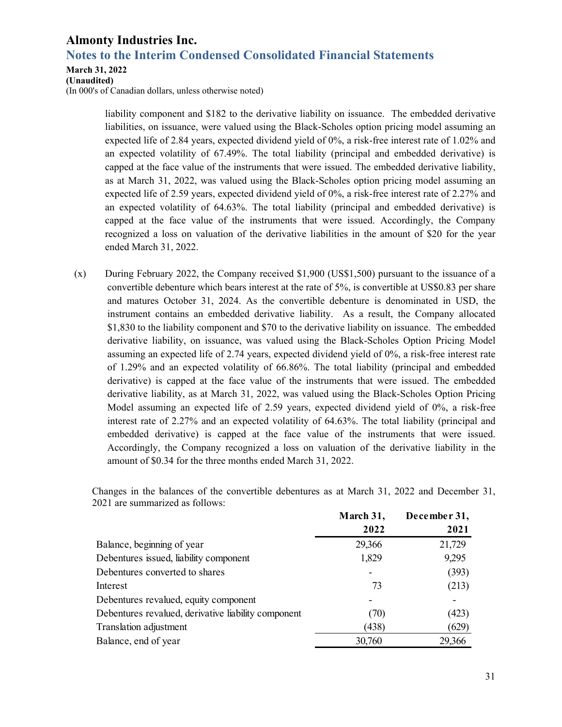### **Notes to the Interim Condensed Consolidated Financial Statements**

#### **March 31, 2022**

**(Unaudited)** 

(In 000's of Canadian dollars, unless otherwise noted)

liability component and \$182 to the derivative liability on issuance. The embedded derivative liabilities, on issuance, were valued using the Black-Scholes option pricing model assuming an expected life of 2.84 years, expected dividend yield of 0%, a risk-free interest rate of 1.02% and an expected volatility of 67.49%. The total liability (principal and embedded derivative) is capped at the face value of the instruments that were issued. The embedded derivative liability, as at March 31, 2022, was valued using the Black-Scholes option pricing model assuming an expected life of 2.59 years, expected dividend yield of 0%, a risk-free interest rate of 2.27% and an expected volatility of 64.63%. The total liability (principal and embedded derivative) is capped at the face value of the instruments that were issued. Accordingly, the Company recognized a loss on valuation of the derivative liabilities in the amount of \$20 for the year ended March 31, 2022.

(x) During February 2022, the Company received \$1,900 (US\$1,500) pursuant to the issuance of a convertible debenture which bears interest at the rate of 5%, is convertible at US\$0.83 per share and matures October 31, 2024. As the convertible debenture is denominated in USD, the instrument contains an embedded derivative liability. As a result, the Company allocated \$1,830 to the liability component and \$70 to the derivative liability on issuance. The embedded derivative liability, on issuance, was valued using the Black-Scholes Option Pricing Model assuming an expected life of 2.74 years, expected dividend yield of 0%, a risk-free interest rate of 1.29% and an expected volatility of 66.86%. The total liability (principal and embedded derivative) is capped at the face value of the instruments that were issued. The embedded derivative liability, as at March 31, 2022, was valued using the Black-Scholes Option Pricing Model assuming an expected life of 2.59 years, expected dividend yield of 0%, a risk-free interest rate of 2.27% and an expected volatility of 64.63%. The total liability (principal and embedded derivative) is capped at the face value of the instruments that were issued. Accordingly, the Company recognized a loss on valuation of the derivative liability in the amount of \$0.34 for the three months ended March 31, 2022.

|                                                     | March 31, | December 31, |
|-----------------------------------------------------|-----------|--------------|
|                                                     | 2022      | 2021         |
| Balance, beginning of year                          | 29,366    | 21,729       |
| Debentures issued, liability component              | 1,829     | 9,295        |
| Debentures converted to shares                      |           | (393)        |
| Interest                                            | 73        | (213)        |
| Debentures revalued, equity component               |           |              |
| Debentures revalued, derivative liability component | (70)      | (423)        |
| Translation adjustment                              | (438)     | (629)        |
| Balance, end of year                                | 30,760    | 29,366       |

Changes in the balances of the convertible debentures as at March 31, 2022 and December 31, 2021 are summarized as follows: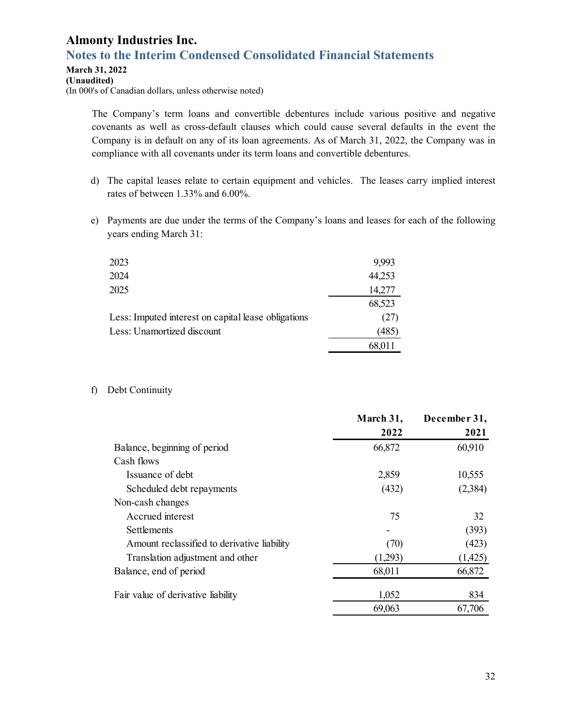### **Notes to the Interim Condensed Consolidated Financial Statements**

#### **March 31, 2022**

**(Unaudited)** 

(In 000's of Canadian dollars, unless otherwise noted)

The Company's term loans and convertible debentures include various positive and negative covenants as well as cross-default clauses which could cause several defaults in the event the Company is in default on any of its loan agreements. As of March 31, 2022, the Company was in compliance with all covenants under its term loans and convertible debentures.

- d) The capital leases relate to certain equipment and vehicles. The leases carry implied interest rates of between 1.33% and 6.00%.
- e) Payments are due under the terms of the Company's loans and leases for each of the following years ending March 31:

| 2023                                                | 9,993  |
|-----------------------------------------------------|--------|
| 2024                                                | 44,253 |
| 2025                                                | 14,277 |
|                                                     | 68,523 |
| Less: Imputed interest on capital lease obligations | (27)   |
| Less: Unamortized discount                          | (485   |
|                                                     | 68,011 |

#### f) Debt Continuity

|                                             | March 31, | December 31, |
|---------------------------------------------|-----------|--------------|
|                                             | 2022      | 2021         |
| Balance, beginning of period                | 66,872    | 60,910       |
| Cash flows                                  |           |              |
| Issuance of debt                            | 2,859     | 10,555       |
| Scheduled debt repayments                   | (432)     | (2,384)      |
| Non-cash changes                            |           |              |
| Accrued interest                            | 75        | 32           |
| <b>Settlements</b>                          |           | (393)        |
| Amount reclassified to derivative liability | (70)      | (423)        |
| Translation adjustment and other            | (1,293)   | (1,425)      |
| Balance, end of period                      | 68,011    | 66,872       |
| Fair value of derivative liability          | 1,052     | 834          |
|                                             | 69,063    | 67,706       |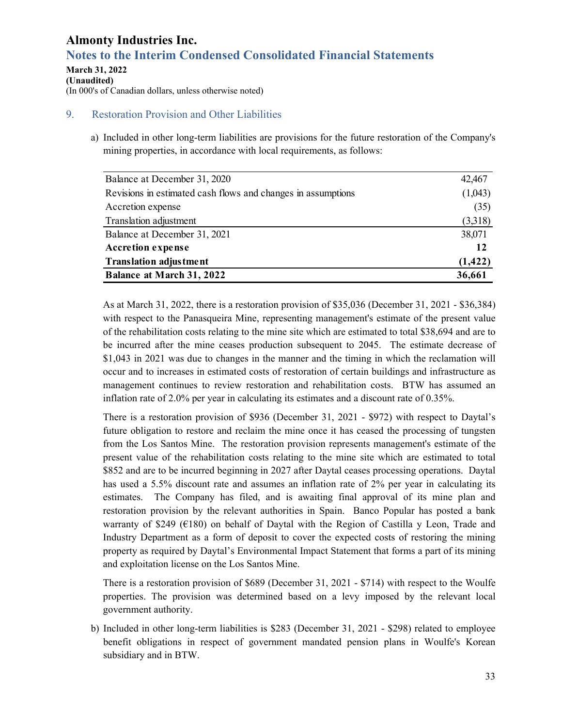# **Notes to the Interim Condensed Consolidated Financial Statements**

#### **March 31, 2022 (Unaudited)**  (In 000's of Canadian dollars, unless otherwise noted)

### 9. Restoration Provision and Other Liabilities

a) Included in other long-term liabilities are provisions for the future restoration of the Company's mining properties, in accordance with local requirements, as follows:

| Balance at December 31, 2020                                 | 42,467   |
|--------------------------------------------------------------|----------|
| Revisions in estimated cash flows and changes in assumptions | (1,043)  |
| Accretion expense                                            | (35)     |
| Translation adjustment                                       | (3,318)  |
| Balance at December 31, 2021                                 | 38,071   |
| <b>Accretion expense</b>                                     | 12       |
| <b>Translation adjustment</b>                                | (1, 422) |
| <b>Balance at March 31, 2022</b>                             | 36,661   |

As at March 31, 2022, there is a restoration provision of \$35,036 (December 31, 2021 - \$36,384) with respect to the Panasqueira Mine, representing management's estimate of the present value of the rehabilitation costs relating to the mine site which are estimated to total \$38,694 and are to be incurred after the mine ceases production subsequent to 2045. The estimate decrease of \$1,043 in 2021 was due to changes in the manner and the timing in which the reclamation will occur and to increases in estimated costs of restoration of certain buildings and infrastructure as management continues to review restoration and rehabilitation costs. BTW has assumed an inflation rate of 2.0% per year in calculating its estimates and a discount rate of 0.35%.

There is a restoration provision of \$936 (December 31, 2021 - \$972) with respect to Daytal's future obligation to restore and reclaim the mine once it has ceased the processing of tungsten from the Los Santos Mine. The restoration provision represents management's estimate of the present value of the rehabilitation costs relating to the mine site which are estimated to total \$852 and are to be incurred beginning in 2027 after Daytal ceases processing operations. Daytal has used a 5.5% discount rate and assumes an inflation rate of 2% per year in calculating its estimates. The Company has filed, and is awaiting final approval of its mine plan and restoration provision by the relevant authorities in Spain. Banco Popular has posted a bank warranty of \$249 ( $E180$ ) on behalf of Daytal with the Region of Castilla y Leon, Trade and Industry Department as a form of deposit to cover the expected costs of restoring the mining property as required by Daytal's Environmental Impact Statement that forms a part of its mining and exploitation license on the Los Santos Mine.

There is a restoration provision of \$689 (December 31, 2021 - \$714) with respect to the Woulfe properties. The provision was determined based on a levy imposed by the relevant local government authority.

b) Included in other long-term liabilities is \$283 (December 31, 2021 - \$298) related to employee benefit obligations in respect of government mandated pension plans in Woulfe's Korean subsidiary and in BTW.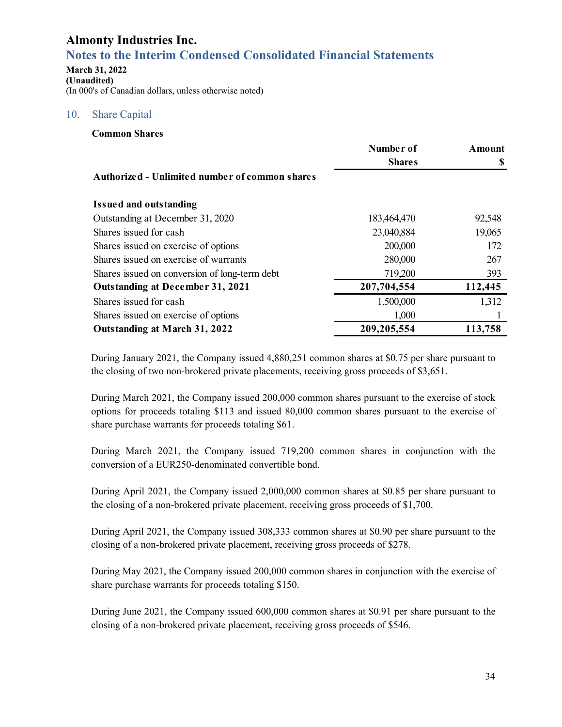# **Notes to the Interim Condensed Consolidated Financial Statements**

**March 31, 2022 (Unaudited)**  (In 000's of Canadian dollars, unless otherwise noted)

### 10. Share Capital

|                                                | Number of     | Amount  |
|------------------------------------------------|---------------|---------|
|                                                | <b>Shares</b> |         |
| Authorized - Unlimited number of common shares |               |         |
| <b>Issued and outstanding</b>                  |               |         |
| Outstanding at December 31, 2020               | 183,464,470   | 92,548  |
| Shares issued for cash                         | 23,040,884    | 19,065  |
| Shares issued on exercise of options           | 200,000       | 172     |
| Shares issued on exercise of warrants          | 280,000       | 267     |
| Shares issued on conversion of long-term debt  | 719,200       | 393     |
| <b>Outstanding at December 31, 2021</b>        | 207,704,554   | 112,445 |
| Shares issued for cash                         | 1,500,000     | 1,312   |
| Shares issued on exercise of options           | 1,000         |         |
| Outstanding at March 31, 2022                  | 209, 205, 554 | 113,758 |

During January 2021, the Company issued 4,880,251 common shares at \$0.75 per share pursuant to the closing of two non-brokered private placements, receiving gross proceeds of \$3,651.

During March 2021, the Company issued 200,000 common shares pursuant to the exercise of stock options for proceeds totaling \$113 and issued 80,000 common shares pursuant to the exercise of share purchase warrants for proceeds totaling \$61.

During March 2021, the Company issued 719,200 common shares in conjunction with the conversion of a EUR250-denominated convertible bond.

During April 2021, the Company issued 2,000,000 common shares at \$0.85 per share pursuant to the closing of a non-brokered private placement, receiving gross proceeds of \$1,700.

During April 2021, the Company issued 308,333 common shares at \$0.90 per share pursuant to the closing of a non-brokered private placement, receiving gross proceeds of \$278.

During May 2021, the Company issued 200,000 common shares in conjunction with the exercise of share purchase warrants for proceeds totaling \$150.

During June 2021, the Company issued 600,000 common shares at \$0.91 per share pursuant to the closing of a non-brokered private placement, receiving gross proceeds of \$546.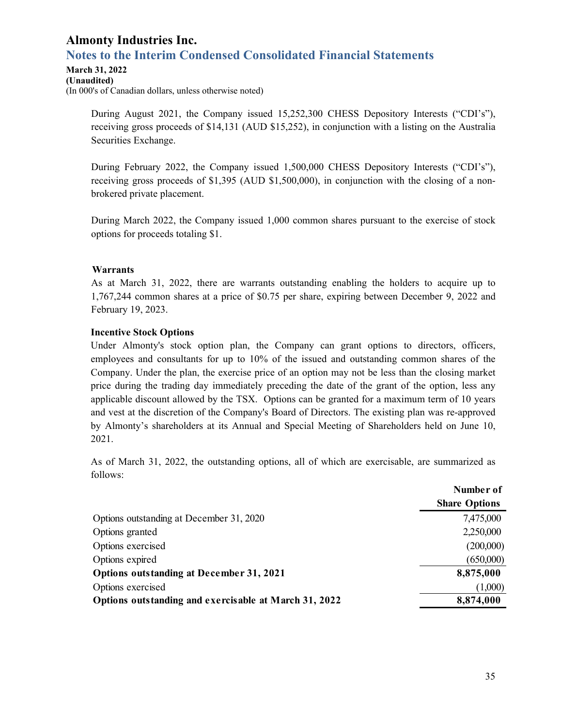## **Notes to the Interim Condensed Consolidated Financial Statements**

#### **March 31, 2022**

**(Unaudited)**  (In 000's of Canadian dollars, unless otherwise noted)

> During August 2021, the Company issued 15,252,300 CHESS Depository Interests ("CDI's"), receiving gross proceeds of \$14,131 (AUD \$15,252), in conjunction with a listing on the Australia Securities Exchange.

> During February 2022, the Company issued 1,500,000 CHESS Depository Interests ("CDI's"), receiving gross proceeds of \$1,395 (AUD \$1,500,000), in conjunction with the closing of a nonbrokered private placement.

> During March 2022, the Company issued 1,000 common shares pursuant to the exercise of stock options for proceeds totaling \$1.

### **Warrants**

As at March 31, 2022, there are warrants outstanding enabling the holders to acquire up to 1,767,244 common shares at a price of \$0.75 per share, expiring between December 9, 2022 and February 19, 2023.

### **Incentive Stock Options**

Under Almonty's stock option plan, the Company can grant options to directors, officers, employees and consultants for up to 10% of the issued and outstanding common shares of the Company. Under the plan, the exercise price of an option may not be less than the closing market price during the trading day immediately preceding the date of the grant of the option, less any applicable discount allowed by the TSX. Options can be granted for a maximum term of 10 years and vest at the discretion of the Company's Board of Directors. The existing plan was re-approved by Almonty's shareholders at its Annual and Special Meeting of Shareholders held on June 10, 2021.

As of March 31, 2022, the outstanding options, all of which are exercisable, are summarized as follows:

|                                                       | Number of            |
|-------------------------------------------------------|----------------------|
|                                                       | <b>Share Options</b> |
| Options outstanding at December 31, 2020              | 7,475,000            |
| Options granted                                       | 2,250,000            |
| Options exercised                                     | (200,000)            |
| Options expired                                       | (650,000)            |
| Options outstanding at December 31, 2021              | 8,875,000            |
| Options exercised                                     | (1,000)              |
| Options outstanding and exercisable at March 31, 2022 | 8,874,000            |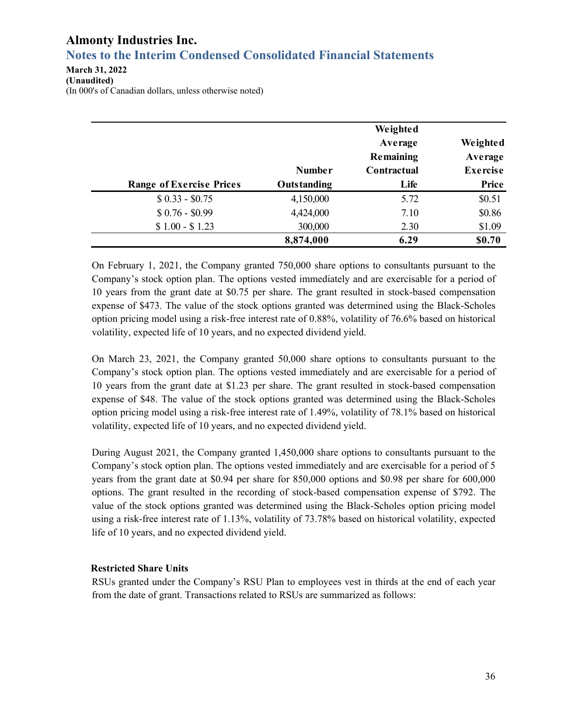# **Notes to the Interim Condensed Consolidated Financial Statements**

**March 31, 2022 (Unaudited)**  (In 000's of Canadian dollars, unless otherwise noted)

|                                 |               | Weighted<br>Average<br>Remaining | Weighted<br>Average |
|---------------------------------|---------------|----------------------------------|---------------------|
|                                 | <b>Number</b> | Contractual                      | <b>Exercise</b>     |
| <b>Range of Exercise Prices</b> | Outstanding   | Life                             | Price               |
| $$0.33 - $0.75$                 | 4,150,000     | 5.72                             | \$0.51              |
| $$0.76 - $0.99$                 | 4,424,000     | 7.10                             | \$0.86              |
| $$1.00 - $1.23$                 | 300,000       | 2.30                             | \$1.09              |
|                                 | 8,874,000     | 6.29                             | \$0.70              |

On February 1, 2021, the Company granted 750,000 share options to consultants pursuant to the Company's stock option plan. The options vested immediately and are exercisable for a period of 10 years from the grant date at \$0.75 per share. The grant resulted in stock-based compensation expense of \$473. The value of the stock options granted was determined using the Black-Scholes option pricing model using a risk-free interest rate of 0.88%, volatility of 76.6% based on historical volatility, expected life of 10 years, and no expected dividend yield.

On March 23, 2021, the Company granted 50,000 share options to consultants pursuant to the Company's stock option plan. The options vested immediately and are exercisable for a period of 10 years from the grant date at \$1.23 per share. The grant resulted in stock-based compensation expense of \$48. The value of the stock options granted was determined using the Black-Scholes option pricing model using a risk-free interest rate of 1.49%, volatility of 78.1% based on historical volatility, expected life of 10 years, and no expected dividend yield.

During August 2021, the Company granted 1,450,000 share options to consultants pursuant to the Company's stock option plan. The options vested immediately and are exercisable for a period of 5 years from the grant date at \$0.94 per share for 850,000 options and \$0.98 per share for 600,000 options. The grant resulted in the recording of stock-based compensation expense of \$792. The value of the stock options granted was determined using the Black-Scholes option pricing model using a risk-free interest rate of 1.13%, volatility of 73.78% based on historical volatility, expected life of 10 years, and no expected dividend yield.

### **Restricted Share Units**

RSUs granted under the Company's RSU Plan to employees vest in thirds at the end of each year from the date of grant. Transactions related to RSUs are summarized as follows: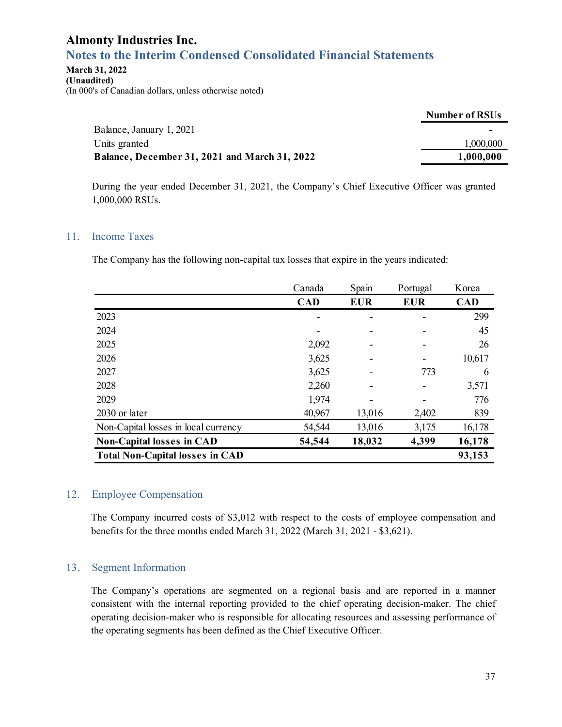### **Notes to the Interim Condensed Consolidated Financial Statements**

#### **March 31, 2022 (Unaudited)**

(In 000's of Canadian dollars, unless otherwise noted)

|                                                      | Number of RSUs |
|------------------------------------------------------|----------------|
| Balance, January 1, 2021                             |                |
| Units granted                                        | 1,000,000      |
| <b>Balance, December 31, 2021 and March 31, 2022</b> | 1,000,000      |

During the year ended December 31, 2021, the Company's Chief Executive Officer was granted 1,000,000 RSUs.

### 11. Income Taxes

The Company has the following non-capital tax losses that expire in the years indicated:

|                                        | Canada     | Spain      | Portugal   | Korea      |
|----------------------------------------|------------|------------|------------|------------|
|                                        | <b>CAD</b> | <b>EUR</b> | <b>EUR</b> | <b>CAD</b> |
| 2023                                   |            |            |            | 299        |
| 2024                                   |            |            |            | 45         |
| 2025                                   | 2,092      |            |            | 26         |
| 2026                                   | 3,625      |            |            | 10,617     |
| 2027                                   | 3,625      |            | 773        | 6          |
| 2028                                   | 2,260      |            |            | 3,571      |
| 2029                                   | 1,974      |            |            | 776        |
| 2030 or later                          | 40,967     | 13,016     | 2,402      | 839        |
| Non-Capital losses in local currency   | 54,544     | 13,016     | 3,175      | 16,178     |
| <b>Non-Capital losses in CAD</b>       | 54,544     | 18,032     | 4,399      | 16,178     |
| <b>Total Non-Capital losses in CAD</b> |            |            |            | 93,153     |

### 12. Employee Compensation

The Company incurred costs of \$3,012 with respect to the costs of employee compensation and benefits for the three months ended March 31, 2022 (March 31, 2021 - \$3,621).

### 13. Segment Information

The Company's operations are segmented on a regional basis and are reported in a manner consistent with the internal reporting provided to the chief operating decision-maker. The chief operating decision-maker who is responsible for allocating resources and assessing performance of the operating segments has been defined as the Chief Executive Officer.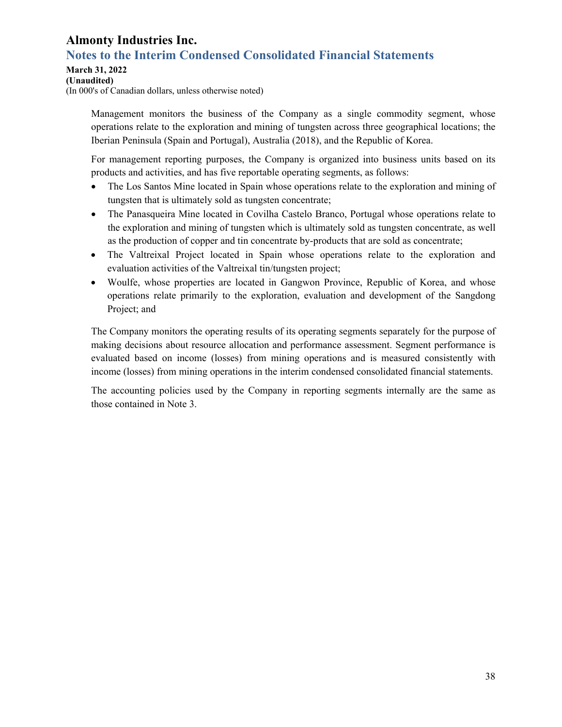# **Notes to the Interim Condensed Consolidated Financial Statements**

### **March 31, 2022**

**(Unaudited)** 

(In 000's of Canadian dollars, unless otherwise noted)

Management monitors the business of the Company as a single commodity segment, whose operations relate to the exploration and mining of tungsten across three geographical locations; the Iberian Peninsula (Spain and Portugal), Australia (2018), and the Republic of Korea.

For management reporting purposes, the Company is organized into business units based on its products and activities, and has five reportable operating segments, as follows:

- The Los Santos Mine located in Spain whose operations relate to the exploration and mining of tungsten that is ultimately sold as tungsten concentrate;
- The Panasqueira Mine located in Covilha Castelo Branco, Portugal whose operations relate to the exploration and mining of tungsten which is ultimately sold as tungsten concentrate, as well as the production of copper and tin concentrate by-products that are sold as concentrate;
- The Valtreixal Project located in Spain whose operations relate to the exploration and evaluation activities of the Valtreixal tin/tungsten project;
- Woulfe, whose properties are located in Gangwon Province, Republic of Korea, and whose operations relate primarily to the exploration, evaluation and development of the Sangdong Project; and

The Company monitors the operating results of its operating segments separately for the purpose of making decisions about resource allocation and performance assessment. Segment performance is evaluated based on income (losses) from mining operations and is measured consistently with income (losses) from mining operations in the interim condensed consolidated financial statements.

The accounting policies used by the Company in reporting segments internally are the same as those contained in Note 3.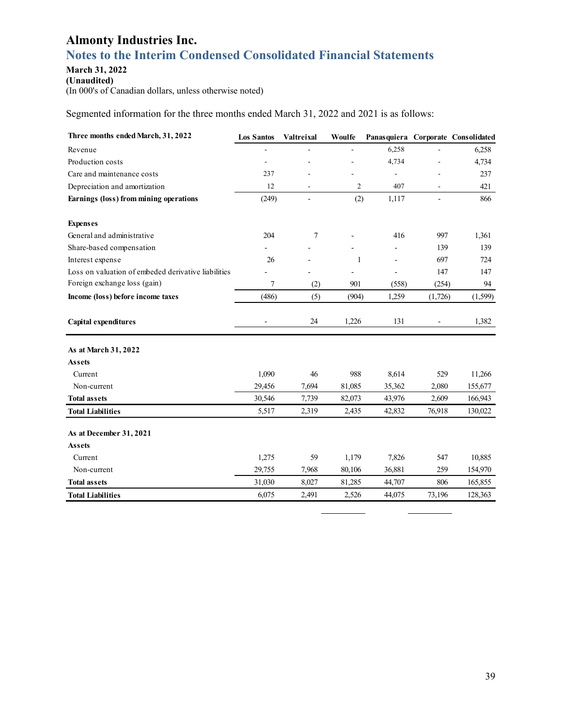# **Notes to the Interim Condensed Consolidated Financial Statements**

### **March 31, 2022**

**(Unaudited)**  (In 000's of Canadian dollars, unless otherwise noted)

Segmented information for the three months ended March 31, 2022 and 2021 is as follows:

| Three months ended March, 31, 2022                  | <b>Los Santos</b> | Valtreixal               | Woulfe         |                          |                          | Panasquiera Corporate Consolidated |
|-----------------------------------------------------|-------------------|--------------------------|----------------|--------------------------|--------------------------|------------------------------------|
| Revenue                                             | ä,                |                          |                | 6,258                    |                          | 6,258                              |
| Production costs                                    | $\overline{a}$    |                          |                | 4,734                    | ÷,                       | 4,734                              |
| Care and maintenance costs                          | 237               |                          |                | ÷,                       | $\overline{a}$           | 237                                |
| Depreciation and amortization                       | 12                |                          | $\overline{2}$ | 407                      |                          | 421                                |
| Earnings (loss) from mining operations              | (249)             | $\overline{\phantom{a}}$ | (2)            | 1,117                    | $\overline{\phantom{a}}$ | 866                                |
| <b>Expenses</b>                                     |                   |                          |                |                          |                          |                                    |
| General and administrative                          | 204               | 7                        |                | 416                      | 997                      | 1,361                              |
| Share-based compensation                            |                   |                          |                |                          | 139                      | 139                                |
| Interest expense                                    | 26                |                          | 1              | $\overline{\phantom{a}}$ | 697                      | 724                                |
| Loss on valuation of embeded derivative liabilities |                   |                          | $\overline{a}$ | $\overline{\phantom{a}}$ | 147                      | 147                                |
| Foreign exchange loss (gain)                        | $\tau$            | (2)                      | 901            | (558)                    | (254)                    | 94                                 |
| Income (loss) before income taxes                   | (486)             | (5)                      | (904)          | 1,259                    | (1,726)                  | (1,599)                            |
| Capital expenditures                                |                   | 24                       | 1,226          | 131                      |                          | 1,382                              |
| As at March 31, 2022                                |                   |                          |                |                          |                          |                                    |
| Assets                                              |                   |                          |                |                          |                          |                                    |
| Current                                             | 1,090             | 46                       | 988            | 8,614                    | 529                      | 11,266                             |
| Non-current                                         | 29,456            | 7,694                    | 81,085         | 35,362                   | 2,080                    | 155,677                            |
| <b>Total assets</b>                                 | 30,546            | 7,739                    | 82,073         | 43,976                   | 2,609                    | 166,943                            |
| <b>Total Liabilities</b>                            | 5,517             | 2,319                    | 2,435          | 42,832                   | 76,918                   | 130,022                            |
| As at December 31, 2021                             |                   |                          |                |                          |                          |                                    |
| <b>Assets</b>                                       |                   |                          |                |                          |                          |                                    |
| Current                                             | 1,275             | 59                       | 1,179          | 7,826                    | 547                      | 10,885                             |
| Non-current                                         | 29,755            | 7,968                    | 80,106         | 36,881                   | 259                      | 154,970                            |
| <b>Total assets</b>                                 | 31,030            | 8,027                    | 81,285         | 44,707                   | 806                      | 165,855                            |
| <b>Total Liabilities</b>                            | 6,075             | 2,491                    | 2,526          | 44,075                   | 73,196                   | 128,363                            |

L,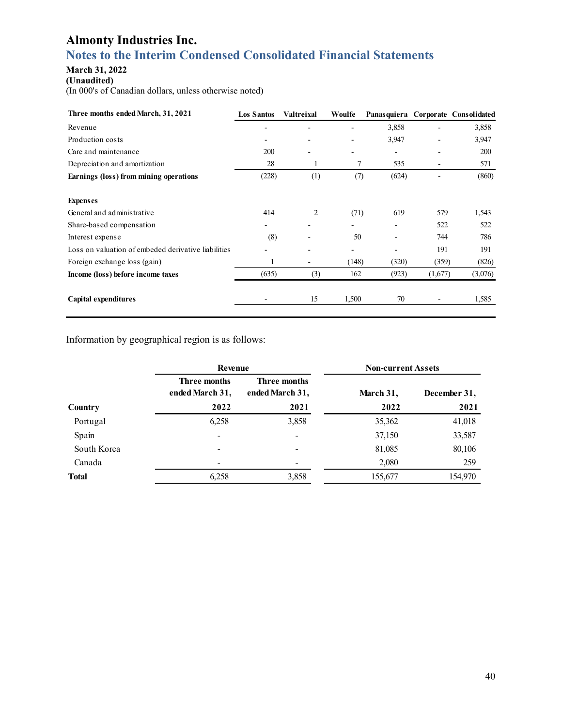# **Notes to the Interim Condensed Consolidated Financial Statements**

### **March 31, 2022**

**(Unaudited)** 

(In 000's of Canadian dollars, unless otherwise noted)

| Three months ended March, 31, 2021                  | <b>Los Santos</b> | Valtreixal | Woulfe                   | <b>Panasquiera</b>       |         | Corporate Consolidated |
|-----------------------------------------------------|-------------------|------------|--------------------------|--------------------------|---------|------------------------|
| Revenue                                             |                   |            |                          | 3,858                    |         | 3,858                  |
| Production costs                                    |                   |            |                          | 3,947                    |         | 3,947                  |
| Care and maintenance                                | 200               | ٠          | $\overline{\phantom{0}}$ | $\overline{\phantom{a}}$ | -       | <b>200</b>             |
| Depreciation and amortization                       | 28                | 1          | 7                        | 535                      |         | 571                    |
| Earnings (loss) from mining operations              | (228)             | (1)        | (7)                      | (624)                    |         | (860)                  |
| <b>Expenses</b>                                     |                   |            |                          |                          |         |                        |
| General and administrative                          | 414               | 2          | (71)                     | 619                      | 579     | 1,543                  |
| Share-based compensation                            |                   |            |                          |                          | 522     | 522                    |
| Interest expense                                    | (8)               |            | 50                       |                          | 744     | 786                    |
| Loss on valuation of embeded derivative liabilities |                   |            | -                        |                          | 191     | 191                    |
| Foreign exchange loss (gain)                        |                   | -          | (148)                    | (320)                    | (359)   | (826)                  |
| Income (loss) before income taxes                   | (635)             | (3)        | 162                      | (923)                    | (1,677) | (3,076)                |
| Capital expenditures                                |                   | 15         | 1,500                    | 70                       |         | 1,585                  |

Information by geographical region is as follows:

| Revenue                                |                                        | <b>Non-current Assets</b> |              |
|----------------------------------------|----------------------------------------|---------------------------|--------------|
| <b>Three months</b><br>ended March 31, | <b>Three months</b><br>ended March 31, | March 31,                 | December 31, |
| 2022                                   | 2021                                   | 2022                      | 2021         |
| 6,258                                  | 3,858                                  | 35,362                    | 41,018       |
|                                        |                                        | 37,150                    | 33,587       |
|                                        |                                        | 81,085                    | 80,106       |
| -                                      | $\overline{\phantom{0}}$               | 2,080                     | 259          |
| 6,258                                  | 3,858                                  | 155,677                   | 154,970      |
|                                        |                                        |                           |              |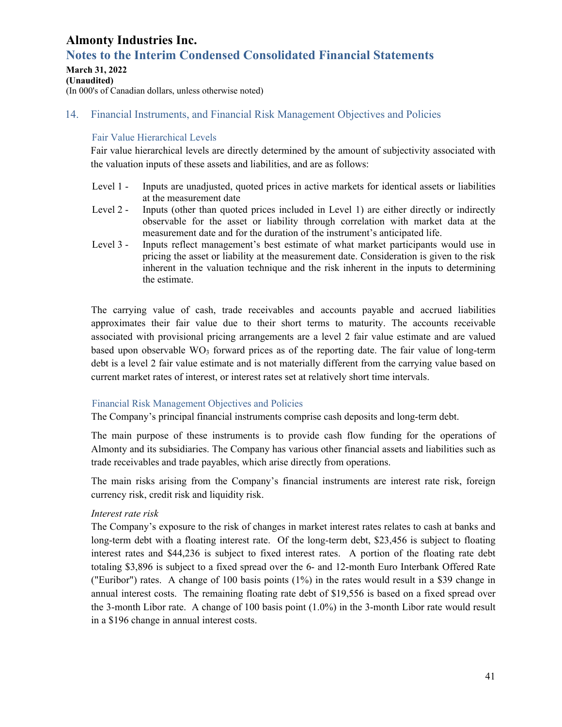# **Notes to the Interim Condensed Consolidated Financial Statements**

#### **March 31, 2022 (Unaudited)**  (In 000's of Canadian dollars, unless otherwise noted)

### 14. Financial Instruments, and Financial Risk Management Objectives and Policies

#### Fair Value Hierarchical Levels

Fair value hierarchical levels are directly determined by the amount of subjectivity associated with the valuation inputs of these assets and liabilities, and are as follows:

- Level 1 Inputs are unadjusted, quoted prices in active markets for identical assets or liabilities at the measurement date
- Level 2 Inputs (other than quoted prices included in Level 1) are either directly or indirectly observable for the asset or liability through correlation with market data at the measurement date and for the duration of the instrument's anticipated life.
- Level 3 Inputs reflect management's best estimate of what market participants would use in pricing the asset or liability at the measurement date. Consideration is given to the risk inherent in the valuation technique and the risk inherent in the inputs to determining the estimate.

The carrying value of cash, trade receivables and accounts payable and accrued liabilities approximates their fair value due to their short terms to maturity. The accounts receivable associated with provisional pricing arrangements are a level 2 fair value estimate and are valued based upon observable  $WO_3$  forward prices as of the reporting date. The fair value of long-term debt is a level 2 fair value estimate and is not materially different from the carrying value based on current market rates of interest, or interest rates set at relatively short time intervals.

### Financial Risk Management Objectives and Policies

The Company's principal financial instruments comprise cash deposits and long-term debt.

The main purpose of these instruments is to provide cash flow funding for the operations of Almonty and its subsidiaries. The Company has various other financial assets and liabilities such as trade receivables and trade payables, which arise directly from operations.

The main risks arising from the Company's financial instruments are interest rate risk, foreign currency risk, credit risk and liquidity risk.

### *Interest rate risk*

The Company's exposure to the risk of changes in market interest rates relates to cash at banks and long-term debt with a floating interest rate. Of the long-term debt, \$23,456 is subject to floating interest rates and \$44,236 is subject to fixed interest rates. A portion of the floating rate debt totaling \$3,896 is subject to a fixed spread over the 6- and 12-month Euro Interbank Offered Rate ("Euribor") rates. A change of 100 basis points (1%) in the rates would result in a \$39 change in annual interest costs. The remaining floating rate debt of \$19,556 is based on a fixed spread over the 3-month Libor rate. A change of 100 basis point (1.0%) in the 3-month Libor rate would result in a \$196 change in annual interest costs.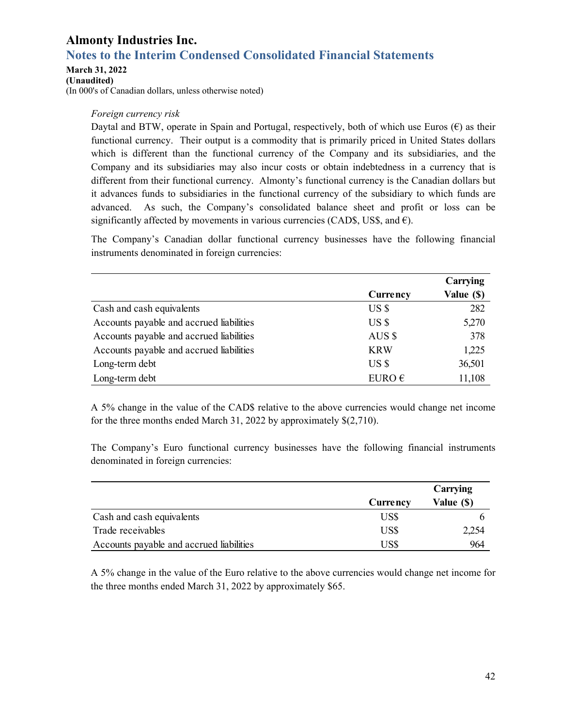# **Notes to the Interim Condensed Consolidated Financial Statements**

**March 31, 2022** 

**(Unaudited)** 

(In 000's of Canadian dollars, unless otherwise noted)

#### *Foreign currency risk*

Daytal and BTW, operate in Spain and Portugal, respectively, both of which use Euros ( $\epsilon$ ) as their functional currency. Their output is a commodity that is primarily priced in United States dollars which is different than the functional currency of the Company and its subsidiaries, and the Company and its subsidiaries may also incur costs or obtain indebtedness in a currency that is different from their functional currency. Almonty's functional currency is the Canadian dollars but it advances funds to subsidiaries in the functional currency of the subsidiary to which funds are advanced. As such, the Company's consolidated balance sheet and profit or loss can be significantly affected by movements in various currencies (CAD\$, US\$, and  $\epsilon$ ).

The Company's Canadian dollar functional currency businesses have the following financial instruments denominated in foreign currencies:

|                                          |                 | Carrying   |
|------------------------------------------|-----------------|------------|
|                                          | Currency        | Value (\$) |
| Cash and cash equivalents                | USS             | 282        |
| Accounts payable and accrued liabilities | US \$           | 5,270      |
| Accounts payable and accrued liabilities | AUS \$          | 378        |
| Accounts payable and accrued liabilities | <b>KRW</b>      | 1,225      |
| Long-term debt                           | USS             | 36,501     |
| Long-term debt                           | EURO $\epsilon$ | 11,108     |

A 5% change in the value of the CAD\$ relative to the above currencies would change net income for the three months ended March 31, 2022 by approximately \$(2,710).

The Company's Euro functional currency businesses have the following financial instruments denominated in foreign currencies:

|                                          |                 | Carrying   |
|------------------------------------------|-----------------|------------|
|                                          | <b>Currency</b> | Value (\$) |
| Cash and cash equivalents                | US\$            |            |
| Trade receivables                        | US\$            | 2,254      |
| Accounts payable and accrued liabilities | US\$            | 964        |

A 5% change in the value of the Euro relative to the above currencies would change net income for the three months ended March 31, 2022 by approximately \$65.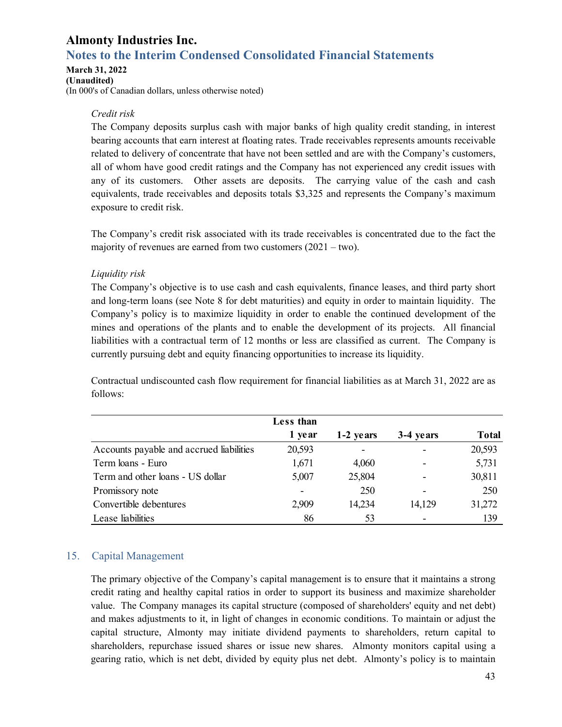# **Notes to the Interim Condensed Consolidated Financial Statements**

#### **March 31, 2022**

**(Unaudited)**  (In 000's of Canadian dollars, unless otherwise noted)

### *Credit risk*

The Company deposits surplus cash with major banks of high quality credit standing, in interest bearing accounts that earn interest at floating rates. Trade receivables represents amounts receivable related to delivery of concentrate that have not been settled and are with the Company's customers, all of whom have good credit ratings and the Company has not experienced any credit issues with any of its customers. Other assets are deposits. The carrying value of the cash and cash equivalents, trade receivables and deposits totals \$3,325 and represents the Company's maximum exposure to credit risk.

The Company's credit risk associated with its trade receivables is concentrated due to the fact the majority of revenues are earned from two customers  $(2021 - two)$ .

### *Liquidity risk*

The Company's objective is to use cash and cash equivalents, finance leases, and third party short and long-term loans (see Note 8 for debt maturities) and equity in order to maintain liquidity. The Company's policy is to maximize liquidity in order to enable the continued development of the mines and operations of the plants and to enable the development of its projects. All financial liabilities with a contractual term of 12 months or less are classified as current. The Company is currently pursuing debt and equity financing opportunities to increase its liquidity.

Contractual undiscounted cash flow requirement for financial liabilities as at March 31, 2022 are as follows:

|                                          | Less than                    |           |           |              |
|------------------------------------------|------------------------------|-----------|-----------|--------------|
|                                          | 1 year                       | 1-2 years | 3-4 years | <b>Total</b> |
| Accounts payable and accrued liabilities | 20,593                       |           |           | 20,593       |
| Term loans - Euro                        | 1,671                        | 4,060     |           | 5,731        |
| Term and other loans - US dollar         | 5,007                        | 25,804    |           | 30,811       |
| Promissory note                          | $\qquad \qquad \blacksquare$ | 250       |           | 250          |
| Convertible debentures                   | 2,909                        | 14,234    | 14,129    | 31,272       |
| Lease liabilities                        | 86                           | 53        |           | 139          |

### 15. Capital Management

The primary objective of the Company's capital management is to ensure that it maintains a strong credit rating and healthy capital ratios in order to support its business and maximize shareholder value. The Company manages its capital structure (composed of shareholders' equity and net debt) and makes adjustments to it, in light of changes in economic conditions. To maintain or adjust the capital structure, Almonty may initiate dividend payments to shareholders, return capital to shareholders, repurchase issued shares or issue new shares. Almonty monitors capital using a gearing ratio, which is net debt, divided by equity plus net debt. Almonty's policy is to maintain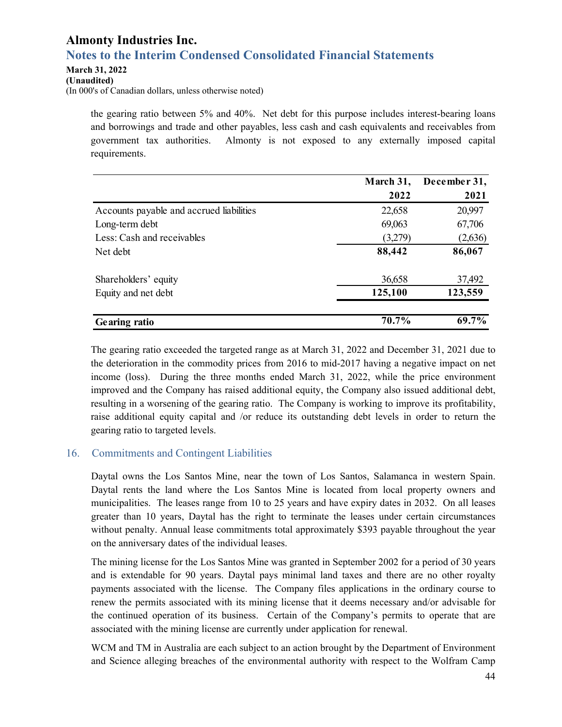### **Almonty Industries Inc. Notes to the Interim Condensed Consolidated Financial Statements**

### **March 31, 2022**

#### **(Unaudited)**

(In 000's of Canadian dollars, unless otherwise noted)

the gearing ratio between 5% and 40%. Net debt for this purpose includes interest-bearing loans and borrowings and trade and other payables, less cash and cash equivalents and receivables from government tax authorities. Almonty is not exposed to any externally imposed capital requirements.

|                                          | March 31, | December 31, |
|------------------------------------------|-----------|--------------|
|                                          | 2022      | 2021         |
| Accounts payable and accrued liabilities | 22,658    | 20,997       |
| Long-term debt                           | 69,063    | 67,706       |
| Less: Cash and receivables               | (3,279)   | (2,636)      |
| Net debt                                 | 88,442    | 86,067       |
| Shareholders' equity                     | 36,658    | 37,492       |
| Equity and net debt                      | 125,100   | 123,559      |
| Gearing ratio                            | 70.7%     | 69.7%        |

The gearing ratio exceeded the targeted range as at March 31, 2022 and December 31, 2021 due to the deterioration in the commodity prices from 2016 to mid-2017 having a negative impact on net income (loss). During the three months ended March 31, 2022, while the price environment improved and the Company has raised additional equity, the Company also issued additional debt, resulting in a worsening of the gearing ratio. The Company is working to improve its profitability, raise additional equity capital and /or reduce its outstanding debt levels in order to return the gearing ratio to targeted levels.

### 16. Commitments and Contingent Liabilities

Daytal owns the Los Santos Mine, near the town of Los Santos, Salamanca in western Spain. Daytal rents the land where the Los Santos Mine is located from local property owners and municipalities. The leases range from 10 to 25 years and have expiry dates in 2032. On all leases greater than 10 years, Daytal has the right to terminate the leases under certain circumstances without penalty. Annual lease commitments total approximately \$393 payable throughout the year on the anniversary dates of the individual leases.

The mining license for the Los Santos Mine was granted in September 2002 for a period of 30 years and is extendable for 90 years. Daytal pays minimal land taxes and there are no other royalty payments associated with the license. The Company files applications in the ordinary course to renew the permits associated with its mining license that it deems necessary and/or advisable for the continued operation of its business. Certain of the Company's permits to operate that are associated with the mining license are currently under application for renewal.

WCM and TM in Australia are each subject to an action brought by the Department of Environment and Science alleging breaches of the environmental authority with respect to the Wolfram Camp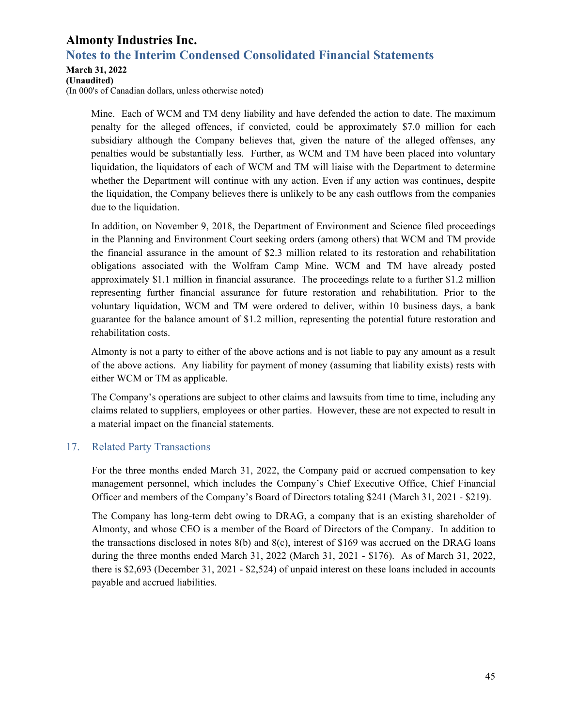### **Notes to the Interim Condensed Consolidated Financial Statements**

#### **March 31, 2022**

**(Unaudited)** 

(In 000's of Canadian dollars, unless otherwise noted)

Mine. Each of WCM and TM deny liability and have defended the action to date. The maximum penalty for the alleged offences, if convicted, could be approximately \$7.0 million for each subsidiary although the Company believes that, given the nature of the alleged offenses, any penalties would be substantially less. Further, as WCM and TM have been placed into voluntary liquidation, the liquidators of each of WCM and TM will liaise with the Department to determine whether the Department will continue with any action. Even if any action was continues, despite the liquidation, the Company believes there is unlikely to be any cash outflows from the companies due to the liquidation.

In addition, on November 9, 2018, the Department of Environment and Science filed proceedings in the Planning and Environment Court seeking orders (among others) that WCM and TM provide the financial assurance in the amount of \$2.3 million related to its restoration and rehabilitation obligations associated with the Wolfram Camp Mine. WCM and TM have already posted approximately \$1.1 million in financial assurance. The proceedings relate to a further \$1.2 million representing further financial assurance for future restoration and rehabilitation. Prior to the voluntary liquidation, WCM and TM were ordered to deliver, within 10 business days, a bank guarantee for the balance amount of \$1.2 million, representing the potential future restoration and rehabilitation costs.

Almonty is not a party to either of the above actions and is not liable to pay any amount as a result of the above actions. Any liability for payment of money (assuming that liability exists) rests with either WCM or TM as applicable.

The Company's operations are subject to other claims and lawsuits from time to time, including any claims related to suppliers, employees or other parties. However, these are not expected to result in a material impact on the financial statements.

### 17. Related Party Transactions

For the three months ended March 31, 2022, the Company paid or accrued compensation to key management personnel, which includes the Company's Chief Executive Office, Chief Financial Officer and members of the Company's Board of Directors totaling \$241 (March 31, 2021 - \$219).

The Company has long-term debt owing to DRAG, a company that is an existing shareholder of Almonty, and whose CEO is a member of the Board of Directors of the Company. In addition to the transactions disclosed in notes 8(b) and 8(c), interest of \$169 was accrued on the DRAG loans during the three months ended March 31, 2022 (March 31, 2021 - \$176). As of March 31, 2022, there is \$2,693 (December 31, 2021 - \$2,524) of unpaid interest on these loans included in accounts payable and accrued liabilities.